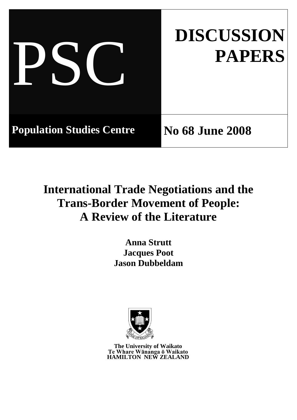|                                  | <b>DISCUSSION</b><br><b>PAPERS</b> |
|----------------------------------|------------------------------------|
| <b>Population Studies Centre</b> | <b>No 68 June 2008</b>             |

# **International Trade Negotiations and the Trans-Border Movement of People: A Review of the Literature**

**Anna Strutt Jacques Poot Jason Dubbeldam**



**The University of Waikato Te Whare Wānanga ō Waikato HAMILTON NEW ZEALAND**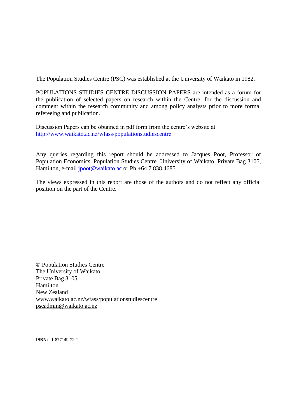The Population Studies Centre (PSC) was established at the University of Waikato in 1982.

POPULATIONS STUDIES CENTRE DISCUSSION PAPERS are intended as a forum for the publication of selected papers on research within the Centre, for the discussion and comment within the research community and among policy analysts prior to more formal refereeing and publication.

Discussion Papers can be obtained in pdf form from the centre"s website at <http://www.waikato.ac.nz/wfass/populationstudiescentre>

Any queries regarding this report should be addressed to Jacques Poot, Professor of Population Economics, Population Studies Centre University of Waikato, Private Bag 3105, Hamilton, e-mail [jpoot@waikato.ac](mailto:jpoot@waikato.ac) or Ph +64 7 838 4685

The views expressed in this report are those of the authors and do not reflect any official position on the part of the Centre.

© Population Studies Centre The University of Waikato Private Bag 3105 Hamilton New Zealand [www.waikato.ac.nz/wfass/populationstudiescentre](http://www.waikato.ac.nz/wfass/populationstudiescentre) [pscadmin@waikato.ac.nz](mailto:pscadmin@waikato.ac.nz)

**ISBN:** 1-877149-72-1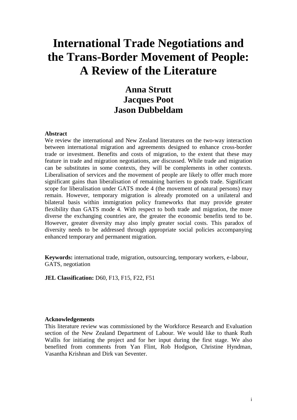## **International Trade Negotiations and the Trans-Border Movement of People: A Review of the Literature**

## **Anna Strutt Jacques Poot Jason Dubbeldam**

#### **Abstract**

We review the international and New Zealand literatures on the two-way interaction between international migration and agreements designed to enhance cross-border trade or investment. Benefits and costs of migration, to the extent that these may feature in trade and migration negotiations, are discussed. While trade and migration can be substitutes in some contexts, they will be complements in other contexts. Liberalisation of services and the movement of people are likely to offer much more significant gains than liberalisation of remaining barriers to goods trade. Significant scope for liberalisation under GATS mode 4 (the movement of natural persons) may remain. However, temporary migration is already promoted on a unilateral and bilateral basis within immigration policy frameworks that may provide greater flexibility than GATS mode 4. With respect to both trade and migration, the more diverse the exchanging countries are, the greater the economic benefits tend to be. However, greater diversity may also imply greater social costs. This paradox of diversity needs to be addressed through appropriate social policies accompanying enhanced temporary and permanent migration.

**Keywords:** international trade, migration, outsourcing, temporary workers, e-labour, GATS, negotiation

**JEL Classification:** D60, F13, F15, F22, F51

#### **Acknowledgements**

This literature review was commissioned by the Workforce Research and Evaluation section of the New Zealand Department of Labour. We would like to thank Ruth Wallis for initiating the project and for her input during the first stage. We also benefited from comments from Yan Flint, Rob Hodgson, Christine Hyndman, Vasantha Krishnan and Dirk van Seventer.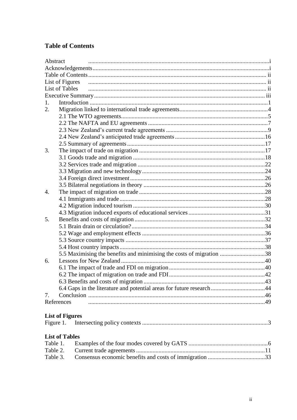### **Table of Contents**

| Abstract                                                             |  |
|----------------------------------------------------------------------|--|
|                                                                      |  |
|                                                                      |  |
| List of Figures                                                      |  |
| <b>List of Tables</b>                                                |  |
|                                                                      |  |
| 1.                                                                   |  |
| 2.                                                                   |  |
|                                                                      |  |
|                                                                      |  |
|                                                                      |  |
|                                                                      |  |
|                                                                      |  |
| 3.                                                                   |  |
|                                                                      |  |
|                                                                      |  |
|                                                                      |  |
|                                                                      |  |
|                                                                      |  |
| 4.                                                                   |  |
|                                                                      |  |
|                                                                      |  |
|                                                                      |  |
| 5.                                                                   |  |
|                                                                      |  |
|                                                                      |  |
|                                                                      |  |
|                                                                      |  |
| 5.5 Maximising the benefits and minimising the costs of migration 38 |  |
| 6.                                                                   |  |
|                                                                      |  |
|                                                                      |  |
|                                                                      |  |
|                                                                      |  |
| 7.                                                                   |  |
| References                                                           |  |
|                                                                      |  |
| <b>List of Figures</b>                                               |  |
| Figure 1.                                                            |  |

#### **List of Tables**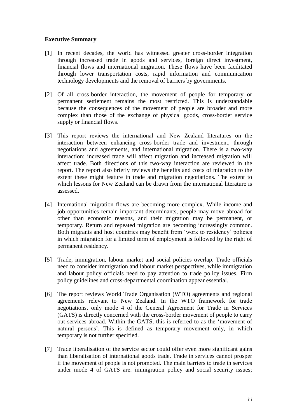#### **Executive Summary**

- [1] In recent decades, the world has witnessed greater cross-border integration through increased trade in goods and services, foreign direct investment, financial flows and international migration. These flows have been facilitated through lower transportation costs, rapid information and communication technology developments and the removal of barriers by governments.
- [2] Of all cross-border interaction, the movement of people for temporary or permanent settlement remains the most restricted. This is understandable because the consequences of the movement of people are broader and more complex than those of the exchange of physical goods, cross-border service supply or financial flows.
- [3] This report reviews the international and New Zealand literatures on the interaction between enhancing cross-border trade and investment, through negotiations and agreements, and international migration. There is a two-way interaction: increased trade will affect migration and increased migration will affect trade. Both directions of this two-way interaction are reviewed in the report. The report also briefly reviews the benefits and costs of migration to the extent these might feature in trade and migration negotiations. The extent to which lessons for New Zealand can be drawn from the international literature is assessed.
- [4] International migration flows are becoming more complex. While income and job opportunities remain important determinants, people may move abroad for other than economic reasons, and their migration may be permanent, or temporary. Return and repeated migration are becoming increasingly common. Both migrants and host countries may benefit from "work to residency" policies in which migration for a limited term of employment is followed by the right of permanent residency.
- [5] Trade, immigration, labour market and social policies overlap. Trade officials need to consider immigration and labour market perspectives, while immigration and labour policy officials need to pay attention to trade policy issues. Firm policy guidelines and cross-departmental coordination appear essential.
- [6] The report reviews World Trade Organisation (WTO) agreements and regional agreements relevant to New Zealand. In the WTO framework for trade negotiations, only mode 4 of the General Agreement for Trade in Services (GATS) is directly concerned with the cross-border movement of people to carry out services abroad. Within the GATS, this is referred to as the "movement of natural persons'. This is defined as temporary movement only, in which temporary is not further specified.
- [7] Trade liberalisation of the service sector could offer even more significant gains than liberalisation of international goods trade. Trade in services cannot prosper if the movement of people is not promoted. The main barriers to trade in services under mode 4 of GATS are: immigration policy and social security issues;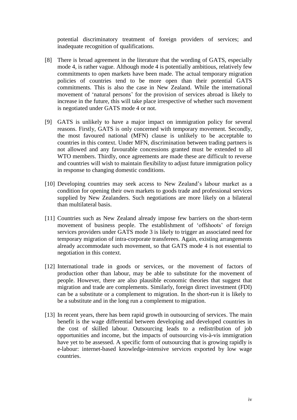potential discriminatory treatment of foreign providers of services; and inadequate recognition of qualifications.

- [8] There is broad agreement in the literature that the wording of GATS, especially mode 4, is rather vague. Although mode 4 is potentially ambitious, relatively few commitments to open markets have been made. The actual temporary migration policies of countries tend to be more open than their potential GATS commitments. This is also the case in New Zealand. While the international movement of "natural persons" for the provision of services abroad is likely to increase in the future, this will take place irrespective of whether such movement is negotiated under GATS mode 4 or not.
- [9] GATS is unlikely to have a major impact on immigration policy for several reasons. Firstly, GATS is only concerned with temporary movement. Secondly, the most favoured national (MFN) clause is unlikely to be acceptable to countries in this context. Under MFN, discrimination between trading partners is not allowed and any favourable concessions granted must be extended to all WTO members. Thirdly, once agreements are made these are difficult to reverse and countries will wish to maintain flexibility to adjust future immigration policy in response to changing domestic conditions.
- [10] Developing countries may seek access to New Zealand's labour market as a condition for opening their own markets to goods trade and professional services supplied by New Zealanders. Such negotiations are more likely on a bilateral than multilateral basis.
- [11] Countries such as New Zealand already impose few barriers on the short-term movement of business people. The establishment of "offshoots" of foreign services providers under GATS mode 3 is likely to trigger an associated need for temporary migration of intra-corporate transferees. Again, existing arrangements already accommodate such movement, so that GATS mode 4 is not essential to negotiation in this context.
- [12] International trade in goods or services, or the movement of factors of production other than labour, may be able to substitute for the movement of people. However, there are also plausible economic theories that suggest that migration and trade are complements. Similarly, foreign direct investment (FDI) can be a substitute or a complement to migration. In the short-run it is likely to be a substitute and in the long run a complement to migration.
- [13] In recent years, there has been rapid growth in outsourcing of services. The main benefit is the wage differential between developing and developed countries in the cost of skilled labour. Outsourcing leads to a redistribution of job opportunities and income, but the impacts of outsourcing vis-à-vis immigration have yet to be assessed. A specific form of outsourcing that is growing rapidly is e-labour: internet-based knowledge-intensive services exported by low wage countries.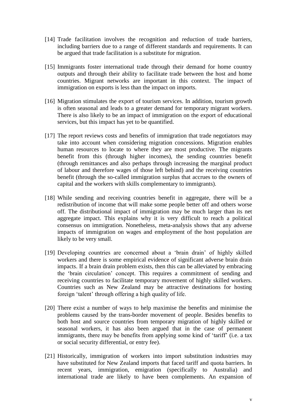- [14] Trade facilitation involves the recognition and reduction of trade barriers, including barriers due to a range of different standards and requirements. It can be argued that trade facilitation is a substitute for migration.
- [15] Immigrants foster international trade through their demand for home country outputs and through their ability to facilitate trade between the host and home countries. Migrant networks are important in this context. The impact of immigration on exports is less than the impact on imports.
- [16] Migration stimulates the export of tourism services. In addition, tourism growth is often seasonal and leads to a greater demand for temporary migrant workers. There is also likely to be an impact of immigration on the export of educational services, but this impact has yet to be quantified.
- [17] The report reviews costs and benefits of immigration that trade negotiators may take into account when considering migration concessions. Migration enables human resources to locate to where they are most productive. The migrants benefit from this (through higher incomes), the sending countries benefit (through remittances and also perhaps through increasing the marginal product of labour and therefore wages of those left behind) and the receiving countries benefit (through the so-called immigration surplus that accrues to the owners of capital and the workers with skills complementary to immigrants).
- [18] While sending and receiving countries benefit in aggregate, there will be a redistribution of income that will make some people better off and others worse off. The distributional impact of immigration may be much larger than its net aggregate impact. This explains why it is very difficult to reach a political consensus on immigration. Nonetheless, meta-analysis shows that any adverse impacts of immigration on wages and employment of the host population are likely to be very small.
- [19] Developing countries are concerned about a "brain drain" of highly skilled workers and there is some empirical evidence of significant adverse brain drain impacts. If a brain drain problem exists, then this can be alleviated by embracing the "brain circulation" concept. This requires a commitment of sending and receiving countries to facilitate temporary movement of highly skilled workers. Countries such as New Zealand may be attractive destinations for hosting foreign "talent" through offering a high quality of life.
- [20] There exist a number of ways to help maximise the benefits and minimise the problems caused by the trans-border movement of people. Besides benefits to both host and source countries from temporary migration of highly skilled or seasonal workers, it has also been argued that in the case of permanent immigrants, there may be benefits from applying some kind of "tariff" (i.e. a tax or social security differential, or entry fee).
- [21] Historically, immigration of workers into import substitution industries may have substituted for New Zealand imports that faced tariff and quota barriers. In recent years, immigration, emigration (specifically to Australia) and international trade are likely to have been complements. An expansion of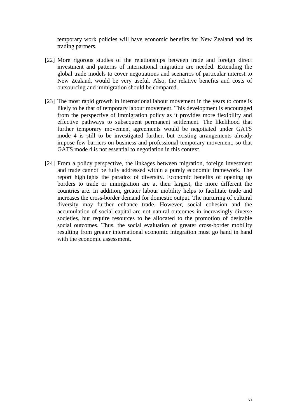temporary work policies will have economic benefits for New Zealand and its trading partners.

- [22] More rigorous studies of the relationships between trade and foreign direct investment and patterns of international migration are needed. Extending the global trade models to cover negotiations and scenarios of particular interest to New Zealand, would be very useful. Also, the relative benefits and costs of outsourcing and immigration should be compared.
- [23] The most rapid growth in international labour movement in the years to come is likely to be that of temporary labour movement. This development is encouraged from the perspective of immigration policy as it provides more flexibility and effective pathways to subsequent permanent settlement. The likelihood that further temporary movement agreements would be negotiated under GATS mode 4 is still to be investigated further, but existing arrangements already impose few barriers on business and professional temporary movement, so that GATS mode 4 is not essential to negotiation in this context.
- [24] From a policy perspective, the linkages between migration, foreign investment and trade cannot be fully addressed within a purely economic framework. The report highlights the paradox of diversity. Economic benefits of opening up borders to trade or immigration are at their largest, the more different the countries are. In addition, greater labour mobility helps to facilitate trade and increases the cross-border demand for domestic output. The nurturing of cultural diversity may further enhance trade. However, social cohesion and the accumulation of social capital are not natural outcomes in increasingly diverse societies, but require resources to be allocated to the promotion of desirable social outcomes. Thus, the social evaluation of greater cross-border mobility resulting from greater international economic integration must go hand in hand with the economic assessment.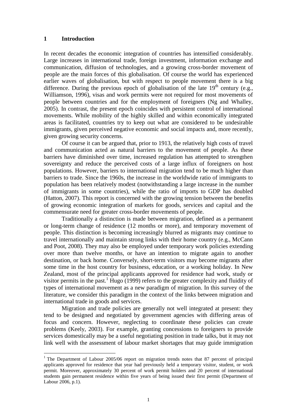#### **1 Introduction**

 $\overline{a}$ 

In recent decades the economic integration of countries has intensified considerably. Large increases in international trade, foreign investment, information exchange and communication, diffusion of technologies, and a growing cross-border movement of people are the main forces of this globalisation. Of course the world has experienced earlier waves of globalisation, but with respect to people movement there is a big difference. During the previous epoch of globalisation of the late  $19<sup>th</sup>$  century (e.g., Williamson, 1996), visas and work permits were not required for most movements of people between countries and for the employment of foreigners (Ng and Whalley, 2005). In contrast, the present epoch coincides with persistent control of international movements. While mobility of the highly skilled and within economically integrated areas is facilitated, countries try to keep out what are considered to be undesirable immigrants, given perceived negative economic and social impacts and, more recently, given growing security concerns.

Of course it can be argued that, prior to 1913, the relatively high costs of travel and communication acted as natural barriers to the movement of people. As these barriers have diminished over time, increased regulation has attempted to strengthen sovereignty and reduce the perceived costs of a large influx of foreigners on host populations. However, barriers to international migration tend to be much higher than barriers to trade. Since the 1960s, the increase in the worldwide ratio of immigrants to population has been relatively modest (notwithstanding a large increase in the number of immigrants in some countries), while the ratio of imports to GDP has doubled (Hatton, 2007). This report is concerned with the growing tension between the benefits of growing economic integration of markets for goods, services and capital and the commensurate need for greater cross-border movements of people.

Traditionally a distinction is made between migration, defined as a permanent or long-term change of residence (12 months or more), and temporary movement of people. This distinction is becoming increasingly blurred as migrants may continue to travel internationally and maintain strong links with their home country (e.g., McCann and Poot, 2008). They may also be employed under temporary work policies extending over more than twelve months, or have an intention to migrate again to another destination, or back home. Conversely, short-term visitors may become migrants after some time in the host country for business, education, or a working holiday. In New Zealand, most of the principal applicants approved for residence had work, study or visitor permits in the past.<sup>1</sup> Hugo (1999) refers to the greater complexity and fluidity of types of international movement as a new paradigm of migration. In this survey of the literature, we consider this paradigm in the context of the links between migration and international trade in goods and services.

Migration and trade policies are generally not well integrated at present: they tend to be designed and negotiated by government agencies with differing areas of focus and concern. However, neglecting to coordinate these policies can create problems (Keely, 2003). For example, granting concessions to foreigners to provide services domestically may be a useful negotiating position in trade talks, but it may not link well with the assessment of labour market shortages that may guide immigration

<sup>&</sup>lt;sup>1</sup> The Department of Labour 2005/06 report on migration trends notes that 87 percent of principal applicants approved for residence that year had previously held a temporary visitor, student, or work permit. Moreover, approximately 30 percent of work permit holders and 20 percent of international students gain permanent residence within five years of being issued their first permit (Department of Labour 2006, p.1).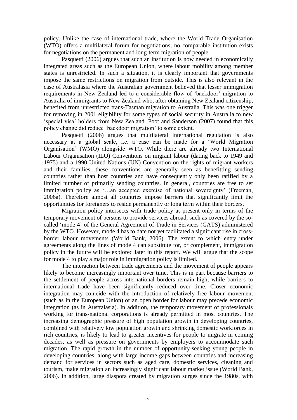policy. Unlike the case of international trade, where the World Trade Organisation (WTO) offers a multilateral forum for negotiations, no comparable institution exists for negotiations on the permanent and long-term migration of people.

Pasquetti (2006) argues that such an institution is now needed in economically integrated areas such as the European Union, where labour mobility among member states is unrestricted. In such a situation, it is clearly important that governments impose the same restrictions on migration from outside. This is also relevant in the case of Australasia where the Australian government believed that lesser immigration requirements in New Zealand led to a considerable flow of 'backdoor' migration to Australia of immigrants to New Zealand who, after obtaining New Zealand citizenship, benefited from unrestricted trans-Tasman migration to Australia. This was one trigger for removing in 2001 eligibility for some types of social security in Australia to new "special visa" holders from New Zealand. Poot and Sanderson (2007) found that this policy change did reduce "backdoor migration" to some extent.

Pasquetti (2006) argues that multilateral international regulation is also necessary at a global scale, i.e. a case can be made for a "World Migration Organisation" (WMO) alongside WTO. While there are already two International Labour Organisation (ILO) Conventions on migrant labour (dating back to 1949 and 1975) and a 1990 United Nations (UN) Convention on the rights of migrant workers and their families, these conventions are generally seen as benefitting sending countries rather than host countries and have consequently only been ratified by a limited number of primarily sending countries. In general, countries are free to set immigration policy as '...an accepted exercise of national sovereignty' (Freeman, 2006a). Therefore almost all countries impose barriers that significantly limit the opportunities for foreigners to reside permanently or long term within their borders.

Migration policy intersects with trade policy at present only in terms of the temporary movement of persons to provide services abroad, such as covered by the socalled "mode 4" of the General Agreement of Trade in Services (GATS) administered by the WTO. However, mode 4 has to date not yet facilitated a significant rise in crossborder labour movements (World Bank, 2006). The extent to which entry under agreements along the lines of mode 4 can substitute for, or complement, immigration policy in the future will be explored later in this report. We will argue that the scope for mode 4 to play a major role in immigration policy is limited.

The interaction between trade agreements and the movement of people appears likely to become increasingly important over time. This is in part because barriers to the settlement of people across international borders remain high, while barriers to international trade have been significantly reduced over time. Closer economic integration may coincide with the introduction of relatively free labour movement (such as in the European Union) or an open border for labour may precede economic integration (as in Australasia). In addition, the temporary movement of professionals working for trans-national corporations is already permitted in most countries. The increasing demographic pressure of high population growth in developing countries, combined with relatively low population growth and shrinking domestic workforces in rich countries, is likely to lead to greater incentives for people to migrate in coming decades, as well as pressure on governments by employers to accommodate such migration. The rapid growth in the number of opportunity-seeking young people in developing countries, along with large income gaps between countries and increasing demand for services in sectors such as aged care, domestic services, cleaning and tourism, make migration an increasingly significant labour market issue (World Bank, 2006). In addition, large diaspora created by migration surges since the 1980s, with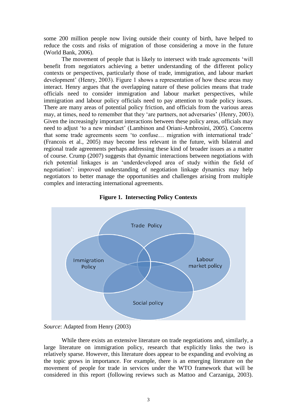some 200 million people now living outside their county of birth, have helped to reduce the costs and risks of migration of those considering a move in the future (World Bank, 2006).

The movement of people that is likely to intersect with trade agreements "will benefit from negotiators achieving a better understanding of the different policy contexts or perspectives, particularly those of trade, immigration, and labour market development' (Henry, 2003). Figure 1 shows a representation of how these areas may interact. Henry argues that the overlapping nature of these policies means that trade officials need to consider immigration and labour market perspectives, while immigration and labour policy officials need to pay attention to trade policy issues. There are many areas of potential policy friction, and officials from the various areas may, at times, need to remember that they 'are partners, not adversaries' (Henry, 2003). Given the increasingly important interactions between these policy areas, officials may need to adjust "to a new mindset" (Lambinon and Oriani-Ambrosini, 2005). Concerns that some trade agreements seem "to confuse… migration with international trade" (Francois et al., 2005) may become less relevant in the future, with bilateral and regional trade agreements perhaps addressing these kind of broader issues as a matter of course. Crump (2007) suggests that dynamic interactions between negotiations with rich potential linkages is an "underdeveloped area of study within the field of negotiation": improved understanding of negotiation linkage dynamics may help negotiators to better manage the opportunities and challenges arising from multiple complex and interacting international agreements.





While there exists an extensive literature on trade negotiations and, similarly, a large literature on immigration policy, research that explicitly links the two is relatively sparse. However, this literature does appear to be expanding and evolving as the topic grows in importance. For example, there is an emerging literature on the movement of people for trade in services under the WTO framework that will be considered in this report (following reviews such as Mattoo and Carzaniga, 2003).

*Source*: Adapted from Henry (2003)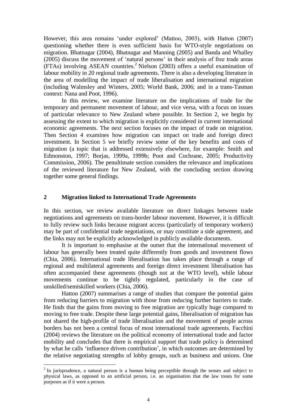However, this area remains "under explored" (Mattoo, 2003), with Hatton (2007) questioning whether there is even sufficient basis for WTO-style negotiations on migration. Bhatnagar (2004), Bhatnagar and Manning (2005) and Banda and Whalley (2005) discuss the movement of "natural persons" in their analysis of free trade areas (FTAs) involving ASEAN countries. <sup>2</sup> Nielson (2003) offers a useful examination of labour mobility in 20 regional trade agreements. There is also a developing literature in the area of modelling the impact of trade liberalisation and international migration (including Walmsley and Winters, 2005; World Bank, 2006; and in a trans-Tasman context: Nana and Poot, 1996).

In this review, we examine literature on the implications of trade for the temporary and permanent movement of labour, and vice versa, with a focus on issues of particular relevance to New Zealand where possible. In Section 2, we begin by assessing the extent to which migration is explicitly considered in current international economic agreements. The next section focuses on the impact of trade on migration. Then Section 4 examines how migration can impact on trade and foreign direct investment. In Section 5 we briefly review some of the key benefits and costs of migration (a topic that is addressed extensively elsewhere, for example: Smith and Edmonston, 1997; Borjas, 1999a, 1999b; Poot and Cochrane, 2005; Productivity Commission, 2006). The penultimate section considers the relevance and implications of the reviewed literature for New Zealand, with the concluding section drawing together some general findings.

#### **2 Migration linked to International Trade Agreements**

In this section, we review available literature on direct linkages between trade negotiations and agreements on trans-border labour movement. However, it is difficult to fully review such links because migrant access (particularly of temporary workers) may be part of confidential trade negotiations, or may constitute a side agreement, and the links may not be explicitly acknowledged in publicly available documents.

It is important to emphasise at the outset that the international movement of labour has generally been treated quite differently from goods and investment flows (Chia, 2006). International trade liberalisation has taken place through a range of regional and multilateral agreements and foreign direct investment liberalisation has often accompanied these agreements (though not at the WTO level), while labour movements continue to be tightly regulated, particularly in the case of unskilled/semiskilled workers (Chia, 2006).

Hatton (2007) summarises a range of studies that compare the potential gains from reducing barriers to migration with those from reducing further barriers to trade. He finds that the gains from moving to free migration are typically huge compared to moving to free trade. Despite these large potential gains, liberalisation of migration has not shared the high-profile of trade liberalisation and the movement of people across borders has not been a central focus of most international trade agreements. Facchini (2004) reviews the literature on the political economy of international trade and factor mobility and concludes that there is empirical support that trade policy is determined by what he calls "influence driven contribution", in which outcomes are determined by the relative negotiating strengths of lobby groups, such as business and unions. One

 $\overline{a}$ 

 $2^{2}$  In jurisprudence, a natural person is a human being perceptible through the senses and subject to physical laws, as opposed to an artificial person, i.e. an organisation that the law treats for some purposes as if it were a person.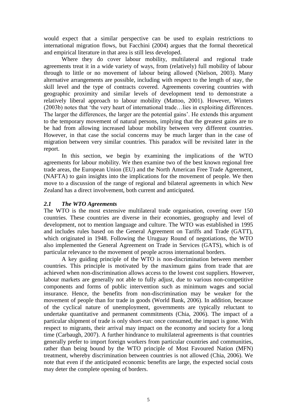would expect that a similar perspective can be used to explain restrictions to international migration flows, but Facchini (2004) argues that the formal theoretical and empirical literature in that area is still less developed.

Where they do cover labour mobility, multilateral and regional trade agreements treat it in a wide variety of ways, from (relatively) full mobility of labour through to little or no movement of labour being allowed (Nielson, 2003). Many alternative arrangements are possible, including with respect to the length of stay, the skill level and the type of contracts covered. Agreements covering countries with geographic proximity and similar levels of development tend to demonstrate a relatively liberal approach to labour mobility (Mattoo, 2001). However, Winters (2003b) notes that "the very heart of international trade…lies in exploiting differences. The larger the differences, the larger are the potential gains". He extends this argument to the temporary movement of natural persons, implying that the greatest gains are to be had from allowing increased labour mobility between very different countries. However, in that case the social concerns may be much larger than in the case of migration between very similar countries. This paradox will be revisited later in the report.

In this section, we begin by examining the implications of the WTO agreements for labour mobility. We then examine two of the best known regional free trade areas, the European Union (EU) and the North American Free Trade Agreement, (NAFTA) to gain insights into the implications for the movement of people. We then move to a discussion of the range of regional and bilateral agreements in which New Zealand has a direct involvement, both current and anticipated.

#### *2.1 The WTO Agreements*

The WTO is the most extensive multilateral trade organisation, covering over 150 countries. These countries are diverse in their economies, geography and level of development, not to mention language and culture. The WTO was established in 1995 and includes rules based on the General Agreement on Tariffs and Trade (GATT), which originated in 1948. Following the Uruguay Round of negotiations, the WTO also implemented the General Agreement on Trade in Services (GATS), which is of particular relevance to the movement of people across international borders.

A key guiding principle of the WTO is non-discrimination between member countries. This principle is motivated by the maximum gains from trade that are achieved when non-discrimination allows access to the lowest cost suppliers. However, labour markets are generally not able to fully adjust, due to various non-competitive components and forms of public intervention such as minimum wages and social insurance. Hence, the benefits from non-discrimination may be weaker for the movement of people than for trade in goods (World Bank, 2006). In addition, because of the cyclical nature of unemployment, governments are typically reluctant to undertake quantitative and permanent commitments (Chia, 2006). The impact of a particular shipment of trade is only short-run: once consumed, the impact is gone. With respect to migrants, their arrival may impact on the economy and society for a long time (Carbaugh, 2007). A further hindrance to multilateral agreements is that countries generally prefer to import foreign workers from particular countries and communities, rather than being bound by the WTO principle of Most Favoured Nation (MFN) treatment, whereby discrimination between countries is not allowed (Chia, 2006). We note that even if the anticipated economic benefits are large, the expected social costs may deter the complete opening of borders.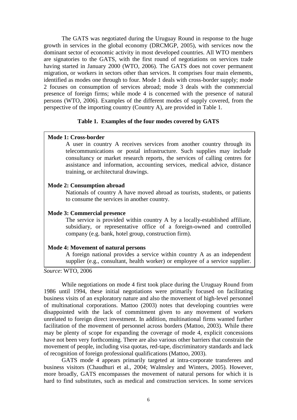The GATS was negotiated during the Uruguay Round in response to the huge growth in services in the global economy (DRCMGP, 2005), with services now the dominant sector of economic activity in most developed countries. All WTO members are signatories to the GATS, with the first round of negotiations on services trade having started in January 2000 (WTO, 2006). The GATS does not cover permanent migration, or workers in sectors other than services. It comprises four main elements, identified as modes one through to four. Mode 1 deals with cross-border supply; mode 2 focuses on consumption of services abroad; mode 3 deals with the commercial presence of foreign firms; while mode 4 is concerned with the presence of natural persons (WTO, 2006). Examples of the different modes of supply covered, from the perspective of the importing country (Country A), are provided in Table 1.

#### **Table 1. Examples of the four modes covered by GATS**

#### **Mode 1: Cross-border**

A user in country A receives services from another country through its telecommunications or postal infrastructure. Such supplies may include consultancy or market research reports, the services of calling centres for assistance and information, accounting services, medical advice, distance training, or architectural drawings.

#### **Mode 2: Consumption abroad**

Nationals of country A have moved abroad as tourists, students, or patients to consume the services in another country.

#### **Mode 3: Commercial presence**

The service is provided within country A by a locally-established affiliate, subsidiary, or representative office of a foreign-owned and controlled company (e.g. bank, hotel group, construction firm).

#### **Mode 4: Movement of natural persons**

A foreign national provides a service within country A as an independent supplier (e.g., consultant, health worker) or employee of a service supplier.

*Source*: WTO, 2006

While negotiations on mode 4 first took place during the Uruguay Round from 1986 until 1994, these initial negotiations were primarily focused on facilitating business visits of an exploratory nature and also the movement of high-level personnel of multinational corporations. Mattoo (2003) notes that developing countries were disappointed with the lack of commitment given to any movement of workers unrelated to foreign direct investment. In addition, multinational firms wanted further facilitation of the movement of personnel across borders (Mattoo, 2003). While there may be plenty of scope for expanding the coverage of mode 4, explicit concessions have not been very forthcoming. There are also various other barriers that constrain the movement of people, including visa quotas, red-tape, discriminatory standards and lack of recognition of foreign professional qualifications (Mattoo, 2003).

GATS mode 4 appears primarily targeted at intra-corporate transferees and business visitors (Chaudhuri et al., 2004; Walmsley and Winters, 2005). However, more broadly, GATS encompasses the movement of natural persons for which it is hard to find substitutes, such as medical and construction services. In some services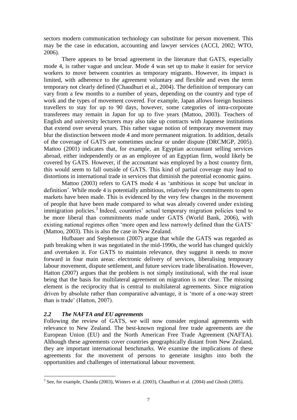sectors modern communication technology can substitute for person movement. This may be the case in education, accounting and lawyer services (ACCI, 2002; WTO, 2006).

There appears to be broad agreement in the literature that GATS, especially mode 4, is rather vague and unclear. Mode 4 was set up to make it easier for service workers to move between countries as temporary migrants. However, its impact is limited, with adherence to the agreement voluntary and flexible and even the term temporary not clearly defined (Chaudhuri et al., 2004). The definition of temporary can vary from a few months to a number of years, depending on the country and type of work and the types of movement covered. For example, Japan allows foreign business travellers to stay for up to 90 days, however, some categories of intra-corporate transferees may remain in Japan for up to five years (Mattoo, 2003). Teachers of English and university lecturers may also take up contracts with Japanese institutions that extend over several years. This rather vague notion of temporary movement may blur the distinction between mode 4 and more permanent migration. In addition, details of the coverage of GATS are sometimes unclear or under dispute (DRCMGP, 2005). Mattoo (2001) indicates that, for example, an Egyptian accountant selling services abroad, either independently or as an employee of an Egyptian firm, would likely be covered by GATS. However, if the accountant was employed by a host country firm, this would seem to fall outside of GATS. This kind of partial coverage may lead to distortions in international trade in services that diminish the potential economic gains.

Mattoo (2003) refers to GATS mode 4 as "ambitious in scope but unclear in definition". While mode 4 is potentially ambitious, relatively few commitments to open markets have been made. This is evidenced by the very few changes in the movement of people that have been made compared to what was already covered under existing immigration policies.<sup>3</sup> Indeed, countries' actual temporary migration policies tend to be more liberal than commitments made under GATS (World Bank, 2006), with existing national regimes often "more open and less narrowly defined than the GATS" (Mattoo, 2003). This is also the case in New Zealand.

Hufbauer and Stephenson (2007) argue that while the GATS was regarded as path breaking when it was negotiated in the mid-1990s, the world has changed quickly and overtaken it. For GATS to maintain relevance, they suggest it needs to move forward in four main areas: electronic delivery of services, liberalising temporary labour movement, dispute settlement, and future services trade liberalisation. However, Hatton (2007) argues that the problem is not simply institutional, with the real issue being that the basis for multilateral agreement on migration is not clear. The missing element is the reciprocity that is central to multilateral agreements. Since migration driven by absolute rather than comparative advantage, it is "more of a one-way street than is trade" (Hatton, 2007).

#### *2.2 The NAFTA and EU agreements*

 $\overline{a}$ 

Following the review of GATS, we will now consider regional agreements with relevance to New Zealand. The best-known regional free trade agreements are the European Union (EU) and the North American Free Trade Agreement (NAFTA). Although these agreements cover countries geographically distant from New Zealand, they are important international benchmarks. We examine the implications of these agreements for the movement of persons to generate insights into both the opportunities and challenges of international labour movement.

 $3$  See, for example, Chanda (2003), Winters et al. (2003), Chaudhuri et al. (2004) and Ghosh (2005).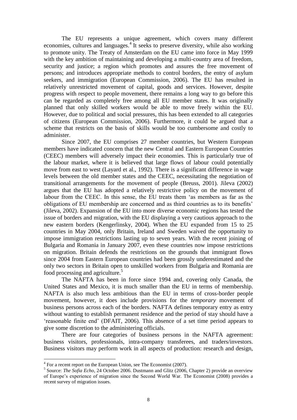The EU represents a unique agreement, which covers many different economies, cultures and languages.<sup>4</sup> It seeks to preserve diversity, while also working to promote unity. The Treaty of Amsterdam on the EU came into force in May 1999 with the key ambition of maintaining and developing a multi-country area of freedom, security and justice; a region which promotes and assures the free movement of persons; and introduces appropriate methods to control borders, the entry of asylum seekers, and immigration (European Commission, 2006). The EU has resulted in relatively unrestricted movement of capital, goods and services. However, despite progress with respect to people movement, there remains a long way to go before this can be regarded as completely free among all EU member states. It was originally planned that only skilled workers would be able to move freely within the EU. However, due to political and social pressures, this has been extended to all categories of citizens (European Commission, 2006). Furthermore, it could be argued that a scheme that restricts on the basis of skills would be too cumbersome and costly to administer.

Since 2007, the EU comprises 27 member countries, but Western European members have indicated concern that the new Central and Eastern European Countries (CEEC) members will adversely impact their economies. This is particularly true of the labour market, where it is believed that large flows of labour could potentially move from east to west (Layard et al., 1992). There is a significant difference in wage levels between the old member states and the CEEC, necessitating the negotiation of transitional arrangements for the movement of people (Breuss, 2001). Jileva (2002) argues that the EU has adopted a relatively restrictive policy on the movement of labour from the CEEC. In this sense, the EU treats them "as members as far as the obligations of EU membership are concerned and as third countries as to its benefits" (Jileva, 2002). Expansion of the EU into more diverse economic regions has tested the issue of borders and migration, with the EU displaying a very cautious approach to the new eastern borders (Kengerlinsky, 2004). When the EU expanded from 15 to 25 countries in May 2004, only Britain, Ireland and Sweden waived the opportunity to impose immigration restrictions lasting up to seven years. With the recent joining of Bulgaria and Romania in January 2007, even these countries now impose restrictions on migration. Britain defends the restrictions on the grounds that immigrant flows since 2004 from Eastern European countries had been grossly underestimated and the only two sectors in Britain open to unskilled workers from Bulgaria and Romania are food processing and agriculture.<sup>5</sup>

The NAFTA has been in force since 1994 and, covering only Canada, the United States and Mexico, it is much smaller than the EU in terms of membership. NAFTA is also much less ambitious than the EU in terms of cross-border people movement, however, it does include provisions for the *temporary* movement of business persons across each of the borders. NAFTA defines temporary entry as entry without wanting to establish permanent residence and the period of stay should have a "reasonable finite end" (DFAIT, 2006). This absence of a set time period appears to give some discretion to the administering officials.

There are four categories of business persons in the NAFTA agreement: business visitors, professionals, intra-company transferees, and traders/investors. Business visitors may perform work in all aspects of production: research and design,

 $\overline{a}$ 

 $4$  For a recent report on the European Union, see The Economist (2007).

<sup>5</sup> Source: *The Sofia Echo*, 24 October 2006. Dustmann and Glitz (2006, Chapter 2) provide an overview of Europe's experience of migration since the Second World War. The Economist (2008) provides a recent survey of migration issues.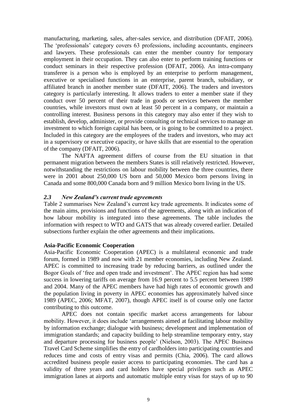manufacturing, marketing, sales, after-sales service, and distribution (DFAIT, 2006). The "professionals" category covers 63 professions, including accountants, engineers and lawyers. These professionals can enter the member country for temporary employment in their occupation. They can also enter to perform training functions or conduct seminars in their respective profession (DFAIT, 2006). An intra-company transferee is a person who is employed by an enterprise to perform management, executive or specialised functions in an enterprise, parent branch, subsidiary, or affiliated branch in another member state (DFAIT, 2006). The traders and investors category is particularly interesting. It allows traders to enter a member state if they conduct over 50 percent of their trade in goods or services between the member countries, while investors must own at least 50 percent in a company, or maintain a controlling interest. Business persons in this category may also enter if they wish to establish, develop, administer, or provide consulting or technical services to manage an investment to which foreign capital has been, or is going to be committed to a project. Included in this category are the employees of the traders and investors, who may act in a supervisory or executive capacity, or have skills that are essential to the operation of the company (DFAIT, 2006).

The NAFTA agreement differs of course from the EU situation in that permanent migration between the members States is still relatively restricted. However, notwithstanding the restrictions on labour mobility between the three countries, there were in 2001 about 250,000 US born and 50,000 Mexico born persons living in Canada and some 800,000 Canada born and 9 million Mexico born living in the US.

#### *2.3 New Zealand's current trade agreements*

Table 2 summarises New Zealand"s current key trade agreements. It indicates some of the main aims, provisions and functions of the agreements, along with an indication of how labour mobility is integrated into these agreements. The table includes the information with respect to WTO and GATS that was already covered earlier. Detailed subsections further explain the other agreements and their implications.

#### **Asia-Pacific Economic Cooperation**

Asia-Pacific Economic Cooperation (APEC) is a multilateral economic and trade forum, formed in 1989 and now with 21 member economies, including New Zealand. APEC is committed to increasing trade by reducing barriers, as outlined under the Bogor Goals of 'free and open trade and investment'. The APEC region has had some success in lowering tariffs on average from 16.9 percent to 5.5 percent between 1989 and 2004. Many of the APEC members have had high rates of economic growth and the population living in poverty in APEC economies has approximately halved since 1989 (APEC, 2006; MFAT, 2007), though APEC itself is of course only one factor contributing to this outcome.

APEC does not contain specific market access arrangements for labour mobility. However, it does include "arrangements aimed at facilitating labour mobility by information exchange; dialogue with business; development and implementation of immigration standards; and capacity building to help streamline temporary entry, stay and departure processing for business people" (Nielson, 2003). The APEC Business Travel Card Scheme simplifies the entry of cardholders into participating countries and reduces time and costs of entry visas and permits (Chia, 2006). The card allows accredited business people easier access to participating economies. The card has a validity of three years and card holders have special privileges such as APEC immigration lanes at airports and automatic multiple entry visas for stays of up to 90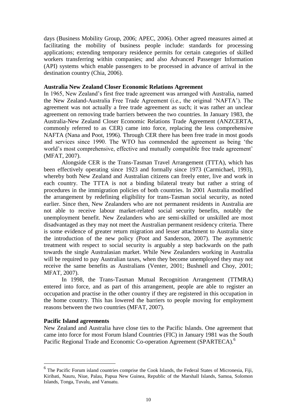days (Business Mobility Group, 2006; APEC, 2006). Other agreed measures aimed at facilitating the mobility of business people include: standards for processing applications; extending temporary residence permits for certain categories of skilled workers transferring within companies; and also Advanced Passenger Information (API) systems which enable passengers to be processed in advance of arrival in the destination country (Chia, 2006).

#### **Australia New Zealand Closer Economic Relations Agreement**

In 1965, New Zealand"s first free trade agreement was arranged with Australia, named the New Zealand-Australia Free Trade Agreement (i.e., the original "NAFTA"). The agreement was not actually a free trade agreement as such; it was rather an unclear agreement on removing trade barriers between the two countries. In January 1983, the Australia-New Zealand Closer Economic Relations Trade Agreement (ANZCERTA, commonly referred to as CER) came into force, replacing the less comprehensive NAFTA (Nana and Poot, 1996). Through CER there has been free trade in most goods and services since 1990. The WTO has commended the agreement as being "the world's most comprehensive, effective and mutually compatible free trade agreement' (MFAT, 2007).

Alongside CER is the Trans-Tasman Travel Arrangement (TTTA), which has been effectively operating since 1923 and formally since 1973 (Carmichael, 1993), whereby both New Zealand and Australian citizens can freely enter, live and work in each country. The TTTA is not a binding bilateral treaty but rather a string of procedures in the immigration policies of both countries. In 2001 Australia modified the arrangement by redefining eligibility for trans-Tasman social security, as noted earlier. Since then, New Zealanders who are not permanent residents in Australia are not able to receive labour market-related social security benefits, notably the unemployment benefit. New Zealanders who are semi-skilled or unskilled are most disadvantaged as they may not meet the Australian permanent residency criteria. There is some evidence of greater return migration and lesser attachment to Australia since the introduction of the new policy (Poot and Sanderson, 2007). The asymmetric treatment with respect to social security is arguably a step backwards on the path towards the single Australasian market. While New Zealanders working in Australia will be required to pay Australian taxes, when they become unemployed they may not receive the same benefits as Australians (Venter, 2001; Bushnell and Choy, 2001; MFAT, 2007).

In 1998, the Trans-Tasman Mutual Recognition Arrangement (TTMRA) entered into force, and as part of this arrangement, people are able to register an occupation and practise in the other country if they are registered in this occupation in the home country. This has lowered the barriers to people moving for employment reasons between the two countries (MFAT, 2007).

#### **Pacific Island agreements**

 $\overline{a}$ 

New Zealand and Australia have close ties to the Pacific Islands. One agreement that came into force for most Forum Island Countries (FIC) in January 1981 was the South Pacific Regional Trade and Economic Co-operation Agreement (SPARTECA).<sup>6</sup>

<sup>&</sup>lt;sup>6</sup> The Pacific Forum island countries comprise the Cook Islands, the Federal States of Micronesia, Fiji, Kiribati, Nauru, Niue, Palau, Papua New Guinea, Republic of the Marshall Islands, Samoa, Solomon Islands, Tonga, Tuvalu, and Vanuatu.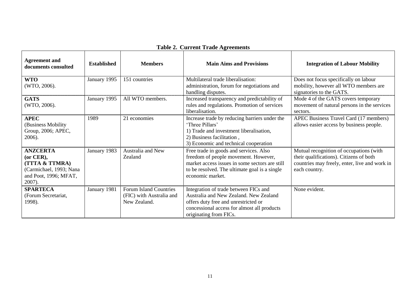| <b>Agreement and</b><br>documents consulted                                                                     | <b>Established</b> | <b>Members</b>                                                            | <b>Main Aims and Provisions</b>                                                                                                                                                                       | <b>Integration of Labour Mobility</b>                                                                                                                |
|-----------------------------------------------------------------------------------------------------------------|--------------------|---------------------------------------------------------------------------|-------------------------------------------------------------------------------------------------------------------------------------------------------------------------------------------------------|------------------------------------------------------------------------------------------------------------------------------------------------------|
| <b>WTO</b><br>(WTO, 2006).                                                                                      | January 1995       | 151 countries                                                             | Multilateral trade liberalisation:<br>administration, forum for negotiations and<br>handling disputes.                                                                                                | Does not focus specifically on labour<br>mobility, however all WTO members are<br>signatories to the GATS.                                           |
| <b>GATS</b><br>(WTO, 2006).                                                                                     | January 1995       | All WTO members.                                                          | Increased transparency and predictability of<br>rules and regulations. Promotion of services<br>liberalisation.                                                                                       | Mode 4 of the GATS covers temporary<br>movement of natural persons in the services<br>sectors.                                                       |
| <b>APEC</b><br>(Business Mobility)<br>Group, 2006; APEC,<br>2006).                                              | 1989               | 21 economies                                                              | Increase trade by reducing barriers under the<br>'Three Pillars'<br>1) Trade and investment liberalisation,<br>2) Business facilitation,<br>3) Economic and technical cooperation                     | APEC Business Travel Card (17 members)<br>allows easier access by business people.                                                                   |
| <b>ANZCERTA</b><br>(or CER),<br>(TTTA & TTMRA)<br>(Carmichael, 1993; Nana<br>and Poot, 1996; MFAT,<br>$2007$ ). | January 1983       | Australia and New<br>Zealand                                              | Free trade in goods and services. Also<br>freedom of people movement. However,<br>market access issues in some sectors are still<br>to be resolved. The ultimate goal is a single<br>economic market. | Mutual recognition of occupations (with<br>their qualifications). Citizens of both<br>countries may freely, enter, live and work in<br>each country. |
| <b>SPARTECA</b><br>(Forum Secretariat,<br>1998).                                                                | January 1981       | <b>Forum Island Countries</b><br>(FIC) with Australia and<br>New Zealand. | Integration of trade between FICs and<br>Australia and New Zealand. New Zealand<br>offers duty free and unrestricted or<br>concessional access for almost all products<br>originating from FICs.      | None evident.                                                                                                                                        |

### **Table 2. Current Trade Agreements**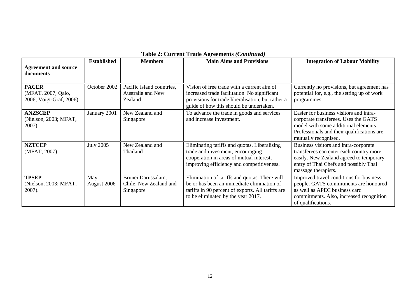|                                                                |                        |                                                                  | radio 2. Carrent Frage Agriculture (Community)                                                                                                                                             |                                                                                                                                                                                               |
|----------------------------------------------------------------|------------------------|------------------------------------------------------------------|--------------------------------------------------------------------------------------------------------------------------------------------------------------------------------------------|-----------------------------------------------------------------------------------------------------------------------------------------------------------------------------------------------|
| <b>Agreement and source</b><br>documents                       | <b>Established</b>     | <b>Members</b>                                                   | <b>Main Aims and Provisions</b>                                                                                                                                                            | <b>Integration of Labour Mobility</b>                                                                                                                                                         |
| <b>PACER</b><br>(MFAT, 2007; Qalo,<br>2006; Voigt-Graf, 2006). | October 2002           | Pacific Island countries,<br><b>Australia and New</b><br>Zealand | Vision of free trade with a current aim of<br>increased trade facilitation. No significant<br>provisions for trade liberalisation, but rather a<br>guide of how this should be undertaken. | Currently no provisions, but agreement has<br>potential for, e.g., the setting up of work<br>programmes.                                                                                      |
| <b>ANZSCEP</b><br>(Nielson, 2003; MFAT,<br>$2007$ ).           | January 2001           | New Zealand and<br>Singapore                                     | To advance the trade in goods and services<br>and increase investment.                                                                                                                     | Easier for business visitors and intra-<br>corporate transferees. Uses the GATS<br>model with some additional elements.<br>Professionals and their qualifications are<br>mutually recognised. |
| <b>NZTCEP</b><br>(MFAT, 2007).                                 | <b>July 2005</b>       | New Zealand and<br>Thailand                                      | Eliminating tariffs and quotas. Liberalising<br>trade and investment, encouraging<br>cooperation in areas of mutual interest,<br>improving efficiency and competitiveness.                 | Business visitors and intra-corporate<br>transferees can enter each country more<br>easily. New Zealand agreed to temporary<br>entry of Thai Chefs and possibly Thai<br>massage therapists.   |
| <b>TPSEP</b><br>(Nielson, 2003; MFAT,<br>2007).                | $May -$<br>August 2006 | Brunei Darussalam,<br>Chile, New Zealand and<br>Singapore        | Elimination of tariffs and quotas. There will<br>be or has been an immediate elimination of<br>tariffs in 90 percent of exports. All tariffs are<br>to be eliminated by the year 2017.     | Improved travel conditions for business<br>people. GATS commitments are honoured<br>as well as APEC business card<br>commitments. Also, increased recognition<br>of qualifications.           |

#### **Table 2: Current Trade Agreements** *(Continued)*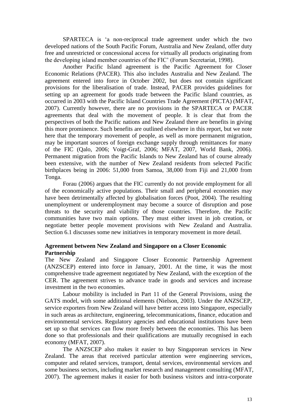SPARTECA is "a non-reciprocal trade agreement under which the two developed nations of the South Pacific Forum, Australia and New Zealand, offer duty free and unrestricted or concessional access for virtually all products originating from the developing island member countries of the FIC" (Forum Secretariat, 1998).

Another Pacific Island agreement is the Pacific Agreement for Closer Economic Relations (PACER). This also includes Australia and New Zealand. The agreement entered into force in October 2002, but does not contain significant provisions for the liberalisation of trade. Instead, PACER provides guidelines for setting up an agreement for goods trade between the Pacific Island countries, as occurred in 2003 with the Pacific Island Countries Trade Agreement (PICTA) (MFAT, 2007). Currently however, there are no provisions in the SPARTECA or PACER agreements that deal with the movement of people. It is clear that from the perspectives of both the Pacific nations and New Zealand there are benefits in giving this more prominence. Such benefits are outlined elsewhere in this report, but we note here that the temporary movement of people, as well as more permanent migration, may be important sources of foreign exchange supply through remittances for many of the FIC (Qalo, 2006; Voigt-Graf, 2006; MFAT, 2007, World Bank, 2006). Permanent migration from the Pacific Islands to New Zealand has of course already been extensive, with the number of New Zealand residents from selected Pacific birthplaces being in 2006: 51,000 from Samoa, 38,000 from Fiji and 21,000 from Tonga.

Forau (2006) argues that the FIC currently do not provide employment for all of the economically active populations. Their small and peripheral economies may have been detrimentally affected by globalisation forces (Poot, 2004). The resulting unemployment or underemployment may become a source of disruption and pose threats to the security and viability of those countries. Therefore, the Pacific communities have two main options. They must either invest in job creation, or negotiate better people movement provisions with New Zealand and Australia. Section 6.1 discusses some new initiatives in temporary movement in more detail.

#### **Agreement between New Zealand and Singapore on a Closer Economic Partnership**

The New Zealand and Singapore Closer Economic Partnership Agreement (ANZSCEP) entered into force in January, 2001. At the time, it was the most comprehensive trade agreement negotiated by New Zealand, with the exception of the CER. The agreement strives to advance trade in goods and services and increase investment in the two economies.

Labour mobility is included in Part 11 of the General Provisions, using the GATS model, with some additional elements (Nielson, 2003). Under the ANZSCEP, service exporters from New Zealand will have better access into Singapore, especially in such areas as architecture, engineering, telecommunications, finance, education and environmental services. Regulatory agencies and educational institutions have been set up so that services can flow more freely between the economies. This has been done so that professionals and their qualifications are mutually recognised in each economy (MFAT, 2007).

The ANZSCEP also makes it easier to buy Singaporean services in New Zealand. The areas that received particular attention were engineering services, computer and related services, transport, dental services, environmental services and some business sectors, including market research and management consulting (MFAT, 2007). The agreement makes it easier for both business visitors and intra-corporate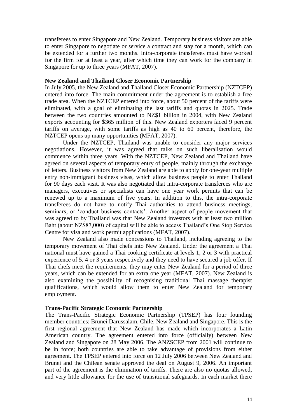transferees to enter Singapore and New Zealand. Temporary business visitors are able to enter Singapore to negotiate or service a contract and stay for a month, which can be extended for a further two months. Intra-corporate transferees must have worked for the firm for at least a year, after which time they can work for the company in Singapore for up to three years (MFAT, 2007).

#### **New Zealand and Thailand Closer Economic Partnership**

In July 2005, the New Zealand and Thailand Closer Economic Partnership (NZTCEP) entered into force. The main commitment under the agreement is to establish a free trade area. When the NZTCEP entered into force, about 50 percent of the tariffs were eliminated, with a goal of eliminating the last tariffs and quotas in 2025. Trade between the two countries amounted to NZ\$1 billion in 2004, with New Zealand exports accounting for \$365 million of this. New Zealand exporters faced 9 percent tariffs on average, with some tariffs as high as 40 to 60 percent, therefore, the NZTCEP opens up many opportunities (MFAT, 2007).

Under the NZTCEP, Thailand was unable to consider any major services negotiations. However, it was agreed that talks on such liberalisation would commence within three years. With the NZTCEP, New Zealand and Thailand have agreed on several aspects of temporary entry of people, mainly through the exchange of letters. Business visitors from New Zealand are able to apply for one-year multiple entry non-immigrant business visas, which allow business people to enter Thailand for 90 days each visit. It was also negotiated that intra-corporate transferees who are managers, executives or specialists can have one year work permits that can be renewed up to a maximum of five years. In addition to this, the intra-corporate transferees do not have to notify Thai authorities to attend business meetings, seminars, or 'conduct business contacts'. Another aspect of people movement that was agreed to by Thailand was that New Zealand investors with at least two million Baht (about NZ\$87,000) of capital will be able to access Thailand"s One Stop Service Centre for visa and work permit applications (MFAT, 2007).

New Zealand also made concessions to Thailand, including agreeing to the temporary movement of Thai chefs into New Zealand. Under the agreement a Thai national must have gained a Thai cooking certificate at levels 1, 2 or 3 with practical experience of 5, 4 or 3 years respectively and they need to have secured a job offer. If Thai chefs meet the requirements, they may enter New Zealand for a period of three years, which can be extended for an extra one year (MFAT, 2007). New Zealand is also examining the possibility of recognising traditional Thai massage therapist qualifications, which would allow them to enter New Zealand for temporary employment.

#### **Trans-Pacific Strategic Economic Partnership**

The Trans-Pacific Strategic Economic Partnership (TPSEP) has four founding member countries: Brunei Darussalam, Chile, New Zealand and Singapore. This is the first regional agreement that New Zealand has made which incorporates a Latin American country. The agreement entered into force (officially) between New Zealand and Singapore on 28 May 2006. The ANZSCEP from 2001 will continue to be in force; both countries are able to take advantage of provisions from either agreement. The TPSEP entered into force on 12 July 2006 between New Zealand and Brunei and the Chilean senate approved the deal on August 9, 2006. An important part of the agreement is the elimination of tariffs. There are also no quotas allowed, and very little allowance for the use of transitional safeguards. In each market there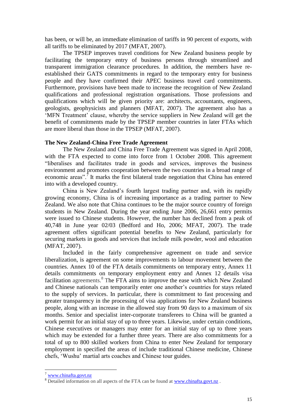has been, or will be, an immediate elimination of tariffs in 90 percent of exports, with all tariffs to be eliminated by 2017 (MFAT, 2007).

The TPSEP improves travel conditions for New Zealand business people by facilitating the temporary entry of business persons through streamlined and transparent immigration clearance procedures. In addition, the members have reestablished their GATS commitments in regard to the temporary entry for business people and they have confirmed their APEC business travel card commitments. Furthermore, provisions have been made to increase the recognition of New Zealand qualifications and professional registration organisations. Those professions and qualifications which will be given priority are: architects, accountants, engineers, geologists, geophysicists and planners (MFAT, 2007). The agreement also has a 'MFN Treatment' clause, whereby the service suppliers in New Zealand will get the benefit of commitments made by the TPSEP member countries in later FTAs which are more liberal than those in the TPSEP (MFAT, 2007).

#### **The New Zealand-China Free Trade Agreement**

The New Zealand and China Free Trade Agreement was signed in April 2008, with the FTA expected to come into force from 1 October 2008. This agreement "liberalises and facilitates trade in goods and services, improves the business environment and promotes cooperation between the two countries in a broad range of economic areas".<sup> $\bar{\tau}$ </sup> It marks the first bilateral trade negotiation that China has entered into with a developed country.

China is New Zealand"s fourth largest trading partner and, with its rapidly growing economy, China is of increasing importance as a trading partner to New Zealand. We also note that China continues to be the major source country of foreign students in New Zealand. During the year ending June 2006, 26,661 entry permits were issued to Chinese students. However, the number has declined from a peak of 40,748 in June year 02/03 (Bedford and Ho, 2006; MFAT, 2007). The trade agreement offers significant potential benefits to New Zealand, particularly for securing markets in goods and services that include milk powder, wool and education (MFAT, 2007).

Included in the fairly comprehensive agreement on trade and service liberalization, is agreement on some improvements to labour movement between the countries. Annex 10 of the FTA details commitments on temporary entry, Annex 11 details commitments on temporary employment entry and Annex 12 details visa facilitation agreements.<sup>8</sup> The FTA aims to improve the ease with which New Zealand and Chinese nationals can temporarily enter one another"s countries for stays related to the supply of services. In particular, there is commitment to fast processing and greater transparency in the processing of visa applications for New Zealand business people, along with an increase in the allowed stay from 90 days to a maximum of six months. Senior and specialist inter-corporate transferees to China will be granted a work permit for an initial stay of up to three years. Likewise, under certain conditions, Chinese executives or managers may enter for an initial stay of up to three years which may be extended for a further three years. There are also commitments for a total of up to 800 skilled workers from China to enter New Zealand for temporary employment in specified the areas of include traditional Chinese medicine, Chinese chefs, "Wushu" martial arts coaches and Chinese tour guides.

<u>.</u>

<sup>7</sup> [www.chinafta.govt.nz](http://www.chinafta.govt.nz/)

<sup>&</sup>lt;sup>8</sup> Detailed information on all aspects of the FTA can be found at [www.chinafta.govt.nz](http://www.chinafta.govt.nz/).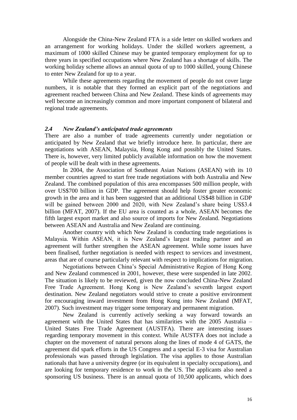Alongside the China-New Zealand FTA is a side letter on skilled workers and an arrangement for working holidays. Under the skilled workers agreement, a maximum of 1000 skilled Chinese may be granted temporary employment for up to three years in specified occupations where New Zealand has a shortage of skills. The working holiday scheme allows an annual quota of up to 1000 skilled, young Chinese to enter New Zealand for up to a year.

While these agreements regarding the movement of people do not cover large numbers, it is notable that they formed an explicit part of the negotiations and agreement reached between China and New Zealand. These kinds of agreements may well become an increasingly common and more important component of bilateral and regional trade agreements.

#### *2.4 New Zealand's anticipated trade agreements*

There are also a number of trade agreements currently under negotiation or anticipated by New Zealand that we briefly introduce here. In particular, there are negotiations with ASEAN, Malaysia, Hong Kong and possibly the United States. There is, however, very limited publicly available information on how the movement of people will be dealt with in these agreements*.*

In 2004, the Association of Southeast Asian Nations (ASEAN) with its 10 member countries agreed to start free trade negotiations with both Australia and New Zealand. The combined population of this area encompasses 500 million people, with over US\$700 billion in GDP. The agreement should help foster greater economic growth in the area and it has been suggested that an additional US\$48 billion in GDP will be gained between 2000 and 2020, with New Zealand's share being US\$3.4 billion (MFAT, 2007). If the EU area is counted as a whole, ASEAN becomes the fifth largest export market and also source of imports for New Zealand. Negotiations between ASEAN and Australia and New Zealand are continuing.

Another country with which New Zealand is conducting trade negotiations is Malaysia. Within ASEAN, it is New Zealand"s largest trading partner and an agreement will further strengthen the ASEAN agreement. While some issues have been finalised, further negotiation is needed with respect to services and investment, areas that are of course particularly relevant with respect to implications for migration.

Negotiations between China"s Special Administrative Region of Hong Kong and New Zealand commenced in 2001, however, these were suspended in late 2002. The situation is likely to be reviewed, given the now concluded China-New Zealand Free Trade Agreement. Hong Kong is New Zealand's seventh largest export destination. New Zealand negotiators would strive to create a positive environment for encouraging inward investment from Hong Kong into New Zealand (MFAT, 2007). Such investment may trigger some temporary and permanent migration.

New Zealand is currently actively seeking a way forward towards an agreement with the United States that has similarities with the 2005 Australia – United States Free Trade Agreement (AUSTFA). There are interesting issues regarding temporary movement in this context. While AUSTFA does not include a chapter on the movement of natural persons along the lines of mode 4 of GATS, the agreement did spark efforts in the US Congress and a special E-3 visa for Australian professionals was passed through legislation. The visa applies to those Australian nationals that have a university degree (or its equivalent in specialty occupations), and are looking for temporary residence to work in the US. The applicants also need a sponsoring US business. There is an annual quota of 10,500 applicants, which does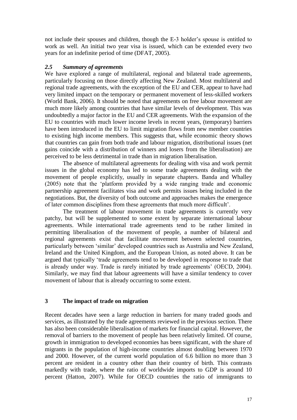not include their spouses and children, though the E-3 holder"s spouse is entitled to work as well. An initial two year visa is issued, which can be extended every two years for an indefinite period of time (DFAT, 2005).

#### *2.5 Summary of agreements*

We have explored a range of multilateral, regional and bilateral trade agreements, particularly focusing on those directly affecting New Zealand. Most multilateral and regional trade agreements, with the exception of the EU and CER, appear to have had very limited impact on the temporary or permanent movement of less-skilled workers (World Bank, 2006). It should be noted that agreements on free labour movement are much more likely among countries that have similar levels of development. This was undoubtedly a major factor in the EU and CER agreements. With the expansion of the EU to countries with much lower income levels in recent years, (temporary) barriers have been introduced in the EU to limit migration flows from new member countries to existing high income members. This suggests that, while economic theory shows that countries can gain from both trade and labour migration, distributional issues (net gains coincide with a distribution of winners and losers from the liberalisation) are perceived to be less detrimental in trade than in migration liberalisation.

The absence of multilateral agreements for dealing with visa and work permit issues in the global economy has led to some trade agreements dealing with the movement of people explicitly, usually in separate chapters. Banda and Whalley (2005) note that the "platform provided by a wide ranging trade and economic partnership agreement facilitates visa and work permits issues being included in the negotiations. But, the diversity of both outcome and approaches makes the emergence of later common disciplines from these agreements that much more difficult".

The treatment of labour movement in trade agreements is currently very patchy, but will be supplemented to some extent by separate international labour agreements. While international trade agreements tend to be rather limited in permitting liberalisation of the movement of people, a number of bilateral and regional agreements exist that facilitate movement between selected countries, particularly between "similar" developed countries such as Australia and New Zealand, Ireland and the United Kingdom, and the European Union, as noted above. It can be argued that typically "trade agreements tend to be developed in response to trade that is already under way. Trade is rarely initiated by trade agreements" (OECD, 2004). Similarly, we may find that labour agreements will have a similar tendency to cover movement of labour that is already occurring to some extent.

#### **3 The impact of trade on migration**

Recent decades have seen a large reduction in barriers for many traded goods and services, as illustrated by the trade agreements reviewed in the previous section. There has also been considerable liberalisation of markets for financial capital. However, the removal of barriers to the movement of people has been relatively limited. Of course, growth in immigration to developed economies has been significant, with the share of migrants in the population of high-income countries almost doubling between 1970 and 2000. However, of the current world population of 6.6 billion no more than 3 percent are resident in a country other than their country of birth. This contrasts markedly with trade, where the ratio of worldwide imports to GDP is around 10 percent (Hatton, 2007). While for OECD countries the ratio of immigrants to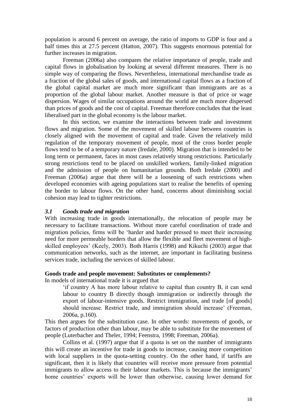population is around 6 percent on average, the ratio of imports to GDP is four and a half times this at 27.5 percent (Hatton, 2007). This suggests enormous potential for further increases in migration.

Freeman (2006a) also compares the relative importance of people, trade and capital flows in globalisation by looking at several different measures. There is no simple way of comparing the flows. Nevertheless, international merchandise trade as a fraction of the global sales of goods, and international capital flows as a fraction of the global capital market are much more significant than immigrants are as a proportion of the global labour market. Another measure is that of price or wage dispersion. Wages of similar occupations around the world are much more dispersed than prices of goods and the cost of capital. Freeman therefore concludes that the least liberalised part in the global economy is the labour market.

In this section, we examine the interactions between trade and investment flows and migration. Some of the movement of skilled labour between countries is closely aligned with the movement of capital and trade. Given the relatively mild regulation of the temporary movement of people, most of the cross border people flows tend to be of a temporary nature (Iredale, 2000). Migration that is intended to be long term or permanent, faces in most cases relatively strong restrictions. Particularly strong restrictions tend to be placed on unskilled workers, family-linked migration and the admission of people on humanitarian grounds. Both Iredale (2000) and Freeman (2006a) argue that there will be a loosening of such restrictions when developed economies with ageing populations start to realise the benefits of opening the border to labour flows. On the other hand, concerns about diminishing social cohesion may lead to tighter restrictions.

#### *3.1 Goods trade and migration*

With increasing trade in goods internationally, the relocation of people may be necessary to facilitate transactions. Without more careful coordination of trade and migration policies, firms will be "harder and harder pressed to meet their increasing need for more permeable borders that allow the flexible and fleet movement of highskilled employees" (Keely, 2003). Both Harris (1998) and Kikuchi (2003) argue that communication networks, such as the internet, are important in facilitating business services trade, including the services of skilled labour.

#### **Goods trade and people movement: Substitutes or complements?**

In models of international trade it is argued that

"if country A has more labour relative to capital than country B, it can send labour to country B directly though immigration or indirectly through the export of labour-intensive goods. Restrict immigration, and trade [of goods] should increase. Restrict trade, and immigration should increase' (Freeman, 2006a, p.160).

This then argues for the substitution case. In other words: movements of goods, or factors of production other than labour, may be able to substitute for the movement of people (Luterbacher and Theler, 1994; Feenstra, 1998; Freeman, 2006a).

Collins et al. (1997) argue that if a quota is set on the number of immigrants this will create an incentive for trade in goods to increase, causing more competition with local suppliers in the quota-setting country. On the other hand, if tariffs are significant, then it is likely that countries will receive more pressure from potential immigrants to allow access to their labour markets. This is because the immigrants' home countries' exports will be lower than otherwise, causing lower demand for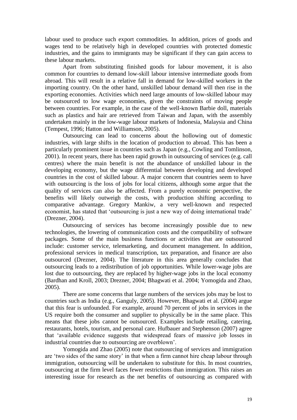labour used to produce such export commodities. In addition, prices of goods and wages tend to be relatively high in developed countries with protected domestic industries, and the gains to immigrants may be significant if they can gain access to these labour markets.

Apart from substituting finished goods for labour movement, it is also common for countries to demand low-skill labour intensive intermediate goods from abroad. This will result in a relative fall in demand for low-skilled workers in the importing country. On the other hand, unskilled labour demand will then rise in the exporting economies. Activities which need large amounts of low-skilled labour may be outsourced to low wage economies, given the constraints of moving people between countries. For example, in the case of the well-known Barbie doll, materials such as plastics and hair are retrieved from Taiwan and Japan, with the assembly undertaken mainly in the low-wage labour markets of Indonesia, Malaysia and China (Tempest, 1996; Hatton and Williamson, 2005).

Outsourcing can lead to concerns about the hollowing out of domestic industries, with large shifts in the location of production to abroad. This has been a particularly prominent issue in countries such as Japan (e.g., Cowling and Tomlinson, 2001). In recent years, there has been rapid growth in outsourcing of services (e.g. call centres) where the main benefit is not the abundance of unskilled labour in the developing economy, but the wage differential between developing and developed countries in the cost of skilled labour. A major concern that countries seem to have with outsourcing is the loss of jobs for local citizens, although some argue that the quality of services can also be affected. From a purely economic perspective, the benefits will likely outweigh the costs, with production shifting according to comparative advantage. Gregory Mankiw, a very well-known and respected economist, has stated that 'outsourcing is just a new way of doing international trade' (Drezner, 2004).

Outsourcing of services has become increasingly possible due to new technologies, the lowering of communication costs and the compatibility of software packages. Some of the main business functions or activities that are outsourced include: customer service, telemarketing, and document management. In addition, professional services in medical transcription, tax preparation, and finance are also outsourced (Drezner, 2004). The literature in this area generally concludes that outsourcing leads to a redistribution of job opportunities. While lower-wage jobs are lost due to outsourcing, they are replaced by higher-wage jobs in the local economy (Bardhan and Kroll, 2003; Drezner, 2004; Bhagwati et al. 2004; Yomogida and Zhao, 2005).

There are some concerns that large numbers of the services jobs may be lost to countries such as India (e.g., Ganguly, 2005). However, Bhagwati et al. (2004) argue that this fear is unfounded. For example, around 70 percent of jobs in services in the US require both the consumer and supplier to physically be in the same place. This means that these jobs cannot be outsourced. Examples include retailing, catering, restaurants, hotels, tourism, and personal care. Hufbauer and Stephenson (2007) agree that "available evidence suggests that widespread fears of massive job losses in industrial countries due to outsourcing are overblown".

Yomogida and Zhao (2005) note that outsourcing of services and immigration are "two sides of the same story" in that when a firm cannot hire cheap labour through immigration, outsourcing will be undertaken to substitute for this. In most countries, outsourcing at the firm level faces fewer restrictions than immigration. This raises an interesting issue for research as the net benefits of outsourcing as compared with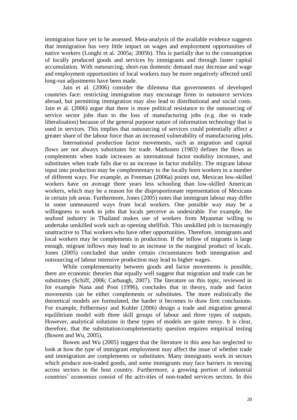immigration have yet to be assessed. Meta-analysis of the available evidence suggests that immigration has very little impact on wages and employment opportunities of native workers (Longhi et al. 2005a; 2005b). This is partially due to the consumption of locally produced goods and services by immigrants and through faster capital accumulation. With outsourcing, short-run domestic demand may decrease and wage and employment opportunities of local workers may be more negatively affected until long-run adjustments have been made.

Jain et al. (2006) consider the dilemma that governments of developed countries face: restricting immigration may encourage firms to outsource services abroad, but permitting immigration may also lead to distributional and social costs. Jain et al. (2006) argue that there is more political resistance to the outsourcing of service sector jobs than to the loss of manufacturing jobs (e.g. due to trade liberalisation) because of the general purpose nature of information technology that is used in services. This implies that outsourcing of services could potentially affect a greater share of the labour force than an increased vulnerability of manufacturing jobs.

International production factor movements, such as migration and capital flows are not always substitutes for trade. Markusen (1983) defines the flows as complements when trade increases as international factor mobility increases, and substitutes when trade falls due to an increase in factor mobility. The migrant labour input into production may be complementary to the locally born workers in a number of different ways. For example, as Freeman (2006a) points out, Mexican low-skilled workers have on average three years less schooling than low-skilled American workers, which may be a reason for the disproportionate representation of Mexicans in certain job areas. Furthermore, Jones (2005) notes that immigrant labour may differ in some unmeasured ways from local workers. One possible way may be a willingness to work in jobs that locals perceive as undesirable. For example, the seafood industry in Thailand makes use of workers from Myanmar willing to undertake unskilled work such as opening shellfish. This unskilled job is increasingly unattractive to Thai workers who have other opportunities. Therefore, immigrants and local workers may be complements in production. If the inflow of migrants is large enough, migrant inflows may lead to an increase in the marginal product of locals. Jones (2005) concluded that under certain circumstances both immigration and outsourcing of labour intensive production may lead to higher wages.

While complementarity between goods and factor movements is possible, there are economic theories that equally well suggest that migration and trade can be substitutes (Schiff, 2006; Carbaugh, 2007). The literature on this topic, reviewed in for example Nana and Poot (1996), concludes that in theory, trade and factor movements can be either complements or substitutes. The more realistically the theoretical models are formulated, the harder it becomes to draw firm conclusions. For example, Felbermayr and Kohler (2006) design a trade and migration general equilibrium model with three skill groups of labour and three types of outputs. However, analytical solutions in these types of models are quite messy. It is clear, therefore, that the substitution/complementarity question requires empirical testing (Bowen and Wu, 2005).

Bowen and Wu (2005) suggest that the literature in this area has neglected to look at how the *type* of immigrant employment may affect the issue of whether trade and immigration are complements or substitutes. Many immigrants work in sectors which produce non-traded goods, and some immigrants may face barriers in moving across sectors in the host country. Furthermore, a growing portion of industrial countries" economies consist of the activities of non-traded services sectors. In this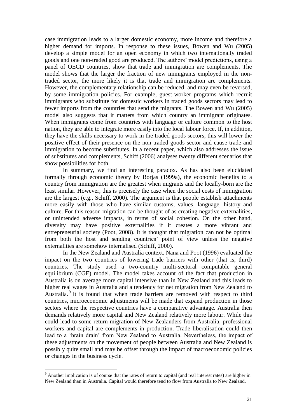case immigration leads to a larger domestic economy, more income and therefore a higher demand for imports. In response to these issues, Bowen and Wu (2005) develop a simple model for an open economy in which two internationally traded goods and one non-traded good are produced. The authors" model predictions, using a panel of OECD countries, show that trade and immigration are complements. The model shows that the larger the fraction of new immigrants employed in the nontraded sector, the more likely it is that trade and immigration are complements. However, the complementary relationship can be reduced, and may even be reversed, by some immigration policies. For example, guest-worker programs which recruit immigrants who substitute for domestic workers in traded goods sectors may lead to fewer imports from the countries that send the migrants. The Bowen and Wu (2005) model also suggests that it matters from which country an immigrant originates. When immigrants come from countries with language or culture common to the host nation, they are able to integrate more easily into the local labour force. If, in addition, they have the skills necessary to work in the traded goods sectors, this will lower the positive effect of their presence on the non-traded goods sector and cause trade and immigration to become substitutes. In a recent paper, which also addresses the issue of substitutes and complements, Schiff (2006) analyses twenty different scenarios that show possibilities for both.

In summary, we find an interesting paradox. As has also been elucidated formally through economic theory by Borjas (1999a), the economic benefits to a country from immigration are the greatest when migrants and the locally-born are the least similar. However, this is precisely the case when the social costs of immigration are the largest (e.g., Schiff, 2000). The argument is that people establish attachments more easily with those who have similar customs, values, language, history and culture. For this reason migration can be thought of as creating negative externalities, or unintended adverse impacts, in terms of social cohesion. On the other hand, diversity may have positive externalities if it creates a more vibrant and entrepreneurial society (Poot, 2008). It is thought that migration can not be optimal from both the host and sending countries" point of view unless the negative externalities are somehow internalised (Schiff, 2000).

In the New Zealand and Australia context, Nana and Poot (1996) evaluated the impact on the two countries of lowering trade barriers with other (that is, third) countries. The study used a two-country multi-sectoral computable general equilibrium (CGE) model. The model takes account of the fact that production in Australia is on average more capital intensive than in New Zealand and this leads to higher real wages in Australia and a tendency for net migration from New Zealand to Australia.<sup>9</sup> It is found that when trade barriers are removed with respect to third countries, microeconomic adjustments will be made that expand production in those sectors where the respective countries have a comparative advantage. Australia then demands relatively more capital and New Zealand relatively more labour. While this could lead to some return migration of New Zealanders from Australia, professional workers and capital are complements in production. Trade liberalisation could then lead to a "brain drain" from New Zealand to Australia. Nevertheless, the impact of these adjustments on the movement of people between Australia and New Zealand is possibly quite small and may be offset through the impact of macroeconomic policies or changes in the business cycle.

<u>.</u>

<sup>&</sup>lt;sup>9</sup> Another implication is of course that the rates of return to capital (and real interest rates) are higher in New Zealand than in Australia. Capital would therefore tend to flow from Australia to New Zealand.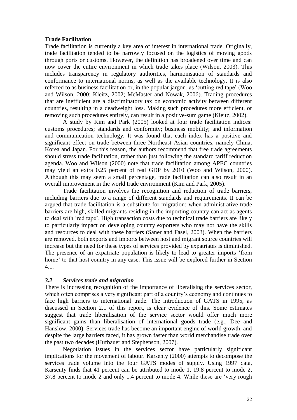#### **Trade Facilitation**

Trade facilitation is currently a key area of interest in international trade. Originally, trade facilitation tended to be narrowly focused on the logistics of moving goods through ports or customs. However, the definition has broadened over time and can now cover the entire environment in which trade takes place (Wilson, 2003). This includes transparency in regulatory authorities, harmonisation of standards and conformance to international norms, as well as the available technology. It is also referred to as business facilitation or, in the popular jargon, as "cutting red tape" (Woo and Wilson, 2000; Kleitz, 2002; McMaster and Nowak, 2006). Trading procedures that are inefficient are a discriminatory tax on economic activity between different countries, resulting in a deadweight loss. Making such procedures more efficient, or removing such procedures entirely, can result in a positive-sum game (Kleitz, 2002).

A study by Kim and Park (2005) looked at four trade facilitation indices: customs procedures; standards and conformity; business mobility; and information and communication technology. It was found that each index has a positive and significant effect on trade between three Northeast Asian countries, namely China, Korea and Japan. For this reason, the authors recommend that free trade agreements should stress trade facilitation, rather than just following the standard tariff reduction agenda. Woo and Wilson (2000) note that trade facilitation among APEC countries may yield an extra 0.25 percent of real GDP by 2010 (Woo and Wilson, 2000). Although this may seem a small percentage, trade facilitation can also result in an overall improvement in the world trade environment (Kim and Park, 2005).

Trade facilitation involves the recognition and reduction of trade barriers, including barriers due to a range of different standards and requirements. It can be argued that trade facilitation is a substitute for migration: when administrative trade barriers are high, skilled migrants residing in the importing country can act as agents to deal with "red tape". High transaction costs due to technical trade barriers are likely to particularly impact on developing country exporters who may not have the skills and resources to deal with these barriers (Saner and Fasel, 2003). When the barriers are removed, both exports and imports between host and migrant source countries will increase but the need for these types of services provided by expatriates is diminished. The presence of an expatriate population is likely to lead to greater imports "from home' to that host country in any case. This issue will be explored further in Section 4.1.

#### *3.2 Services trade and migration*

There is increasing recognition of the importance of liberalising the services sector, which often comprises a very significant part of a country's economy and continues to face high barriers to international trade. The introduction of GATS in 1995, as discussed in Section 2.1 of this report, is clear evidence of this. Some estimates suggest that trade liberalisation of the service sector would offer much more significant gains than liberalisation of international goods trade (e.g., Dee and Hanslow, 2000). Services trade has become an important engine of world growth, and despite the large barriers faced, it has grown faster than world merchandise trade over the past two decades (Hufbauer and Stephenson, 2007).

Negotiation issues in the services sector have particularly significant implications for the movement of labour. Karsenty (2000) attempts to decompose the services trade volume into the four GATS modes of supply. Using 1997 data, Karsenty finds that 41 percent can be attributed to mode 1, 19.8 percent to mode 2, 37.8 percent to mode 2 and only 1.4 percent to mode 4. While these are "very rough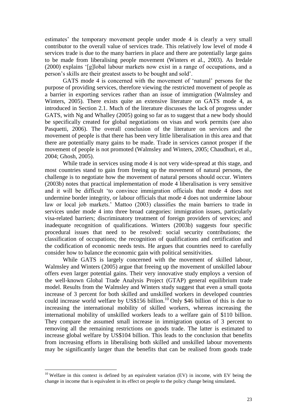estimates' the temporary movement people under mode 4 is clearly a very small contributor to the overall value of services trade. This relatively low level of mode 4 services trade is due to the many barriers in place and there are potentially large gains to be made from liberalising people movement (Winters et al., 2003). As Iredale (2000) explains "[g]lobal labour markets now exist in a range of occupations, and a person"s skills are their greatest assets to be bought and sold".

GATS mode 4 is concerned with the movement of "natural" persons for the purpose of providing services, therefore viewing the restricted movement of people as a barrier in exporting services rather than an issue of immigration (Walmsley and Winters, 2005). There exists quite an extensive literature on GATS mode 4, as introduced in Section 2.1. Much of the literature discusses the lack of progress under GATS, with Ng and Whalley (2005) going so far as to suggest that a new body should be specifically created for global negotiations on visas and work permits (see also Pasquetti, 2006). The overall conclusion of the literature on services and the movement of people is that there has been very little liberalisation in this area and that there are potentially many gains to be made. Trade in services cannot prosper if the movement of people is not promoted (Walmsley and Winters, 2005; Chaudhuri, et al., 2004; Ghosh, 2005).

While trade in services using mode 4 is not very wide-spread at this stage, and most countries stand to gain from freeing up the movement of natural persons, the challenge is to negotiate how the movement of natural persons should occur. Winters (2003b) notes that practical implementation of mode 4 liberalisation is very sensitive and it will be difficult "to convince immigration officials that mode 4 does not undermine border integrity, or labour officials that mode 4 does not undermine labour law or local job markets." Mattoo (2003) classifies the main barriers to trade in services under mode 4 into three broad categories: immigration issues, particularly visa-related barriers; discriminatory treatment of foreign providers of services; and inadequate recognition of qualifications. Winters (2003b) suggests four specific procedural issues that need to be resolved: social security contributions; the classification of occupations; the recognition of qualifications and certification and the codification of economic needs tests. He argues that countries need to carefully consider how to balance the economic gain with political sensitivities.

While GATS is largely concerned with the movement of skilled labour, Walmsley and Winters (2005) argue that freeing up the movement of unskilled labour offers even larger potential gains. Their very innovative study employs a version of the well-known Global Trade Analysis Project (GTAP) general equilibrium trade model. Results from the Walmsley and Winters study suggest that even a small quota increase of 3 percent for both skilled and unskilled workers in developed countries could increase world welfare by US\$156 billion.<sup>10</sup> Only \$46 billion of this is due to increasing the international mobility of skilled workers, whereas increasing the international mobility of unskilled workers leads to a welfare gain of \$110 billion. They compare the assumed small increase in immigration quotas of 3 percent to removing all the remaining restrictions on goods trade. The latter is estimated to increase global welfare by US\$104 billion. This leads to the conclusion that benefits from increasing efforts in liberalising both skilled and unskilled labour movements may be significantly larger than the benefits that can be realised from goods trade

<u>.</u>

 $10$  Welfare in this context is defined by an equivalent variation (EV) in income, with EV being the change in income that is equivalent in its effect on people to the policy change being simulated**.**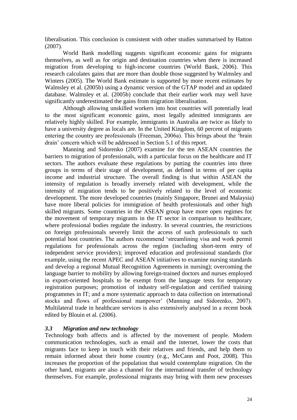liberalisation. This conclusion is consistent with other studies summarised by Hatton (2007).

World Bank modelling suggests significant economic gains for migrants themselves, as well as for origin and destination countries when there is increased migration from developing to high-income countries (World Bank, 2006). This research calculates gains that are more than double those suggested by Walmsley and Winters (2005). The World Bank estimate is supported by more recent estimates by Walmsley et al. (2005b) using a dynamic version of the GTAP model and an updated database. Walmsley et al. (2005b) conclude that their earlier work may well have significantly underestimated the gains from migration liberalisation.

Although allowing unskilled workers into host countries will potentially lead to the most significant economic gains, most legally admitted immigrants are relatively highly skilled. For example, immigrants in Australia are twice as likely to have a university degree as locals are. In the United Kingdom, 60 percent of migrants entering the country are professionals (Freeman, 2006a). This brings about the "brain drain" concern which will be addressed in Section 5.1 of this report.

Manning and Sidorenko (2007) examine for the ten ASEAN countries the barriers to migration of professionals, with a particular focus on the healthcare and IT sectors. The authors evaluate these regulations by putting the countries into three groups in terms of their stage of development, as defined in terms of per capita income and industrial structure. The overall finding is that within ASEAN the intensity of regulation is broadly inversely related with development, while the intensity of migration tends to be positively related to the level of economic development. The more developed countries (mainly Singapore, Brunei and Malaysia) have more liberal policies for immigration of health professionals and other high skilled migrants. Some countries in the ASEAN group have more open regimes for the movement of temporary migrants in the IT sector in comparison to healthcare, where professional bodies regulate the industry. In several countries, the restrictions on foreign professionals severely limit the access of such professionals to such potential host countries. The authors recommend "streamlining visa and work permit regulations for professionals across the region (including short-term entry of independent service providers); improved education and professional standards (for example, using the recent APEC and ASEAN initiatives to examine nursing standards and develop a regional Mutual Recognition Agreements in nursing); overcoming the language barrier to mobility by allowing foreign-trained doctors and nurses employed in export-oriented hospitals to be exempt from the language tests for temporary registration purposes; promotion of industry self-regulation and certified training programmes in IT; and a more systematic approach to data collection on international stocks and flows of professional manpower' (Manning and Sidorenko, 2007). Multilateral trade in healthcare services is also extensively analysed in a recent book edited by Blouin et al. (2006).

#### *3.3 Migration and new technology*

Technology both affects and is affected by the movement of people. Modern communication technologies, such as email and the internet, lower the costs that migrants face to keep in touch with their relatives and friends, and help them to remain informed about their home country (e.g., McCann and Poot, 2008). This increases the proportion of the population that would contemplate migration. On the other hand, migrants are also a channel for the international transfer of technology themselves. For example, professional migrants may bring with them new processes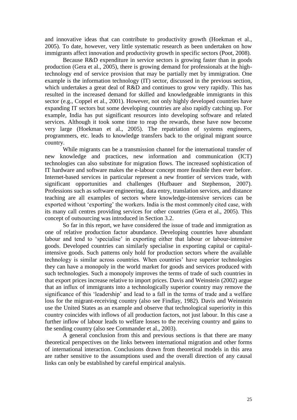and innovative ideas that can contribute to productivity growth (Hoekman et al., 2005). To date, however, very little systematic research as been undertaken on how immigrants affect innovation and productivity growth in specific sectors (Poot, 2008).

Because R&D expenditure in service sectors is growing faster than in goods production (Gera et al., 2005), there is growing demand for professionals at the hightechnology end of service provision that may be partially met by immigration. One example is the information technology (IT) sector, discussed in the previous section, which undertakes a great deal of R&D and continues to grow very rapidly. This has resulted in the increased demand for skilled and knowledgeable immigrants in this sector (e.g., Coppel et al., 2001). However, not only highly developed countries have expanding IT sectors but some developing countries are also rapidly catching up. For example, India has put significant resources into developing software and related services. Although it took some time to reap the rewards, these have now become very large (Hoekman et al., 2005). The repatriation of systems engineers, programmers, etc. leads to knowledge transfers back to the original migrant source country.

While migrants can be a transmission channel for the international transfer of new knowledge and practices, new information and communication (ICT) technologies can also substitute for migration flows. The increased sophistication of IT hardware and software makes the e-labour concept more feasible then ever before. Internet-based services in particular represent a new frontier of services trade, with significant opportunities and challenges (Hufbauer and Stephenson, 2007). Professions such as software engineering, data entry, translation services, and distance teaching are all examples of sectors where knowledge-intensive services can be exported without "exporting" the workers. India is the most commonly cited case, with its many call centres providing services for other countries (Gera et al., 2005). This concept of outsourcing was introduced in Section 3.2.

So far in this report, we have considered the issue of trade and immigration as one of relative production factor abundance. Developing countries have abundant labour and tend to 'specialise' in exporting either that labour or labour-intensive goods. Developed countries can similarly specialise in exporting capital or capitalintensive goods. Such patterns only hold for production sectors where the available technology is similar across countries. When countries" have superior technologies they can have a monopoly in the world market for goods and services produced with such technologies. Such a monopoly improves the terms of trade of such countries in that export prices increase relative to import prices. Davis and Weinstein (2002) argue that an influx of immigrants into a technologically superior country may remove the significance of this "leadership" and lead to a fall in the terms of trade and a welfare loss for the migrant-receiving country (also see Findlay, 1982). Davis and Weinstein use the United States as an example and observe that technological superiority in this country coincides with inflows of all production factors, not just labour. In this case a further inflow of labour leads to welfare losses to the receiving country and gains to the sending country (also see Commander et al., 2003).

A general conclusion from this and previous sections is that there are many theoretical perspectives on the links between international migration and other forms of international interaction. Conclusions drawn from theoretical models in this area are rather sensitive to the assumptions used and the overall direction of any causal links can only be established by careful empirical analysis.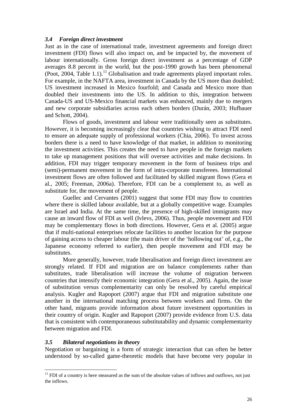#### *3.4 Foreign direct investment*

Just as in the case of international trade, investment agreements and foreign direct investment (FDI) flows will also impact on, and be impacted by, the movement of labour internationally. Gross foreign direct investment as a percentage of GDP averages 8.8 percent in the world, but the post-1990 growth has been phenomenal (Poot, 2004, Table 1.1).<sup>11</sup> Globalisation and trade agreements played important roles. For example, in the NAFTA area, investment in Canada by the US more than doubled; US investment increased in Mexico fourfold; and Canada and Mexico more than doubled their investments into the US. In addition to this, integration between Canada-US and US-Mexico financial markets was enhanced, mainly due to mergers and new corporate subsidiaries across each others borders (Durán, 2003; Hufbauer and Schott, 2004).

Flows of goods, investment and labour were traditionally seen as substitutes. However, it is becoming increasingly clear that countries wishing to attract FDI need to ensure an adequate supply of professional workers (Chia, 2006). To invest across borders there is a need to have knowledge of that market, in addition to monitoring the investment activities. This creates the need to have people in the foreign markets to take up management positions that will oversee activities and make decisions. In addition, FDI may trigger temporary movement in the form of business trips and (semi)-permanent movement in the form of intra-corporate transferees. International investment flows are often followed and facilitated by skilled migrant flows (Gera et al., 2005; Freeman, 2006a). Therefore, FDI can be a complement to, as well as substitute for, the movement of people.

Guellec and Cervantes (2001) suggest that some FDI may flow to countries where there is skilled labour available, but at a globally competitive wage. Examples are Israel and India. At the same time, the presence of high-skilled immigrants may cause an inward flow of FDI as well (Ivlevs, 2006). Thus, people movement and FDI may be complementary flows in both directions. However, Gera et al. (2005) argue that if multi-national enterprises relocate facilities to another location for the purpose of gaining access to cheaper labour (the main driver of the "hollowing out" of, e.g., the Japanese economy referred to earlier), then people movement and FDI may be substitutes.

More generally, however, trade liberalisation and foreign direct investment are strongly related. If FDI and migration are on balance complements rather than substitutes, trade liberalisation will increase the volume of migration between countries that intensify their economic integration (Gera et al., 2005). Again, the issue of substitution versus complementarity can only be resolved by careful empirical analysis. Kugler and Rapoport (2007) argue that FDI and migration substitute one another in the international matching process between workers and firms. On the other hand, migrants provide information about future investment opportunities in their country of origin. Kugler and Rapoport (2007) provide evidence from U.S. data that is consistent with contemporaneous substitutability and dynamic complementarity between migration and FDI.

#### *3.5 Bilateral negotiations in theory*

<u>.</u>

Negotiation or bargaining is a form of strategic interaction that can often be better understood by so-called game-theoretic models that have become very popular in

 $11$  FDI of a country is here measured as the sum of the absolute values of inflows and outflows, not just the inflows.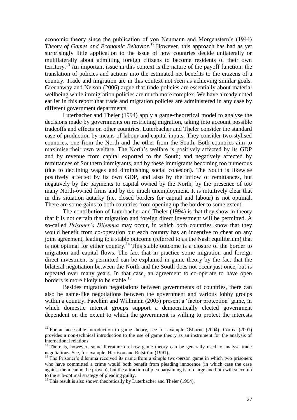economic theory since the publication of von Neumann and Morgenstern's (1944) *Theory of Games and Economic Behavior*. <sup>12</sup> However, this approach has had as yet surprisingly little application to the issue of how countries decide unilaterally or multilaterally about admitting foreign citizens to become residents of their own territory.<sup>13</sup> An important issue in this context is the nature of the payoff function: the translation of policies and actions into the estimated net benefits to the citizens of a country. Trade and migration are in this context not seen as achieving similar goals. Greenaway and Nelson (2006) argue that trade policies are essentially about material wellbeing while immigration policies are much more complex. We have already noted earlier in this report that trade and migration policies are administered in any case by different government departments.

Luterbacher and Theler (1994) apply a game-theoretical model to analyse the decisions made by governments on restricting migration, taking into account possible tradeoffs and effects on other countries. Luterbacher and Theler consider the standard case of production by means of labour and capital inputs. They consider two stylised countries, one from the North and the other from the South. Both countries aim to maximise their own welfare. The North"s welfare is positively affected by its GDP and by revenue from capital exported to the South; and negatively affected by remittances of Southern immigrants, and by these immigrants becoming too numerous (due to declining wages and diminishing social cohesion). The South is likewise positively affected by its own GDP, and also by the inflow of remittances, but negatively by the payments to capital owned by the North, by the presence of too many North-owned firms and by too much unemployment. It is intuitively clear that in this situation autarky (i.e. closed borders for capital and labour) is not optimal. There are some gains to both countries from opening up the border to some extent.

The contribution of Luterbacher and Theler (1994) is that they show in theory that it is not certain that migration and foreign direct investment will be permitted. A so-called *Prisoner's Dilemma* may occur, in which both countries know that they would benefit from co-operation but each country has an incentive to cheat on any joint agreement, leading to a stable outcome (referred to as the Nash equilibrium) that is not optimal for either country.<sup>14</sup> This stable outcome is a closure of the border to migration and capital flows. The fact that in practice some migration and foreign direct investment is permitted can be explained in game theory by the fact that the bilateral negotiation between the North and the South does not occur just once, but is repeated over many years. In that case, an agreement to co-operate to have open borders is more likely to be stable.<sup>15</sup>

Besides migration negotiations between governments of countries, there can also be game-like negotiations between the government and various lobby groups within a country. Facchini and Willmann (2005) present a 'factor protection' game, in which domestic interest groups support a democratically elected government dependent on the extent to which the government is willing to protect the interests

1

 $12$  For an accessible introduction to game theory, see for example Osborne (2004). Correa (2001) provides a non-technical introduction to the use of game theory as an instrument for the analysis of international relations.

 $13$  There is, however, some literature on how game theory can be generally used to analyse trade negotiations. See, for example, Harrison and Rutström (1991).

 $14$ <sup>14</sup> The Prisoner's dilemma received its name from a simple two-person game in which two prisoners who have committed a crime would both benefit from pleading innocence (in which case the case against them cannot be proven), but the attraction of plea bargaining is too large and both will succumb to the sub-optimal strategy of pleading guilty.

 $15$  This result is also shown theoretically by Luterbacher and Theler (1994).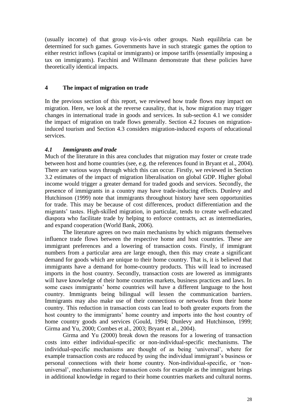(usually income) of that group vis-à-vis other groups. Nash equilibria can be determined for such games. Governments have in such strategic games the option to either restrict inflows (capital or immigrants) or impose tariffs (essentially imposing a tax on immigrants). Facchini and Willmann demonstrate that these policies have theoretically identical impacts.

#### **4 The impact of migration on trade**

In the previous section of this report, we reviewed how trade flows may impact on migration. Here, we look at the reverse causality, that is, how migration may trigger changes in international trade in goods and services. In sub-section 4.1 we consider the impact of migration on trade flows generally. Section 4.2 focuses on migrationinduced tourism and Section 4.3 considers migration-induced exports of educational services.

#### *4.1 Immigrants and trade*

Much of the literature in this area concludes that migration may foster or create trade between host and home countries (see, e.g. the references found in Bryant et al., 2004). There are various ways through which this can occur. Firstly, we reviewed in Section 3.2 estimates of the impact of migration liberalisation on global GDP. Higher global income would trigger a greater demand for traded goods and services. Secondly, the presence of immigrants in a country may have trade-inducing effects. Dunlevy and Hutchinson (1999) note that immigrants throughout history have seen opportunities for trade. This may be because of cost differences, product differentiation and the migrants' tastes. High-skilled migration, in particular, tends to create well-educated diaspora who facilitate trade by helping to enforce contracts, act as intermediaries, and expand cooperation (World Bank, 2006).

The literature agrees on two main mechanisms by which migrants themselves influence trade flows between the respective home and host countries. These are immigrant preferences and a lowering of transaction costs. Firstly, if immigrant numbers from a particular area are large enough, then this may create a significant demand for goods which are unique to their home country. That is, it is believed that immigrants have a demand for home-country products. This will lead to increased imports in the host country. Secondly, transaction costs are lowered as immigrants will have knowledge of their home countries markets, business practices and laws. In some cases immigrants' home countries will have a different language to the host country. Immigrants being bilingual will lessen the communication barriers. Immigrants may also make use of their connections or networks from their home country. This reduction in transaction costs can lead to both greater exports from the host country to the immigrants' home country and imports into the host country of home country goods and services (Gould, 1994; Dunlevy and Hutchinson, 1999; Girma and Yu, 2000; Combes et al., 2003; Bryant et al., 2004).

Girma and Yu (2000) break down the reasons for a lowering of transaction costs into either individual-specific or non-individual-specific mechanisms. The individual-specific mechanisms are thought of as being "universal", where for example transaction costs are reduced by using the individual immigrant's business or personal connections with their home country. Non-individual-specific, or "nonuniversal", mechanisms reduce transaction costs for example as the immigrant brings in additional knowledge in regard to their home countries markets and cultural norms.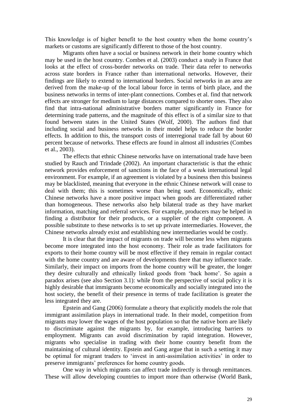This knowledge is of higher benefit to the host country when the home country"s markets or customs are significantly different to those of the host country.

Migrants often have a social or business network in their home country which may be used in the host country. Combes et al. (2003) conduct a study in France that looks at the effect of cross-border networks on trade. Their data refer to networks across state borders in France rather than international networks. However, their findings are likely to extend to international borders. Social networks in an area are derived from the make-up of the local labour force in terms of birth place, and the business networks in terms of inter-plant connections. Combes et al. find that network effects are stronger for medium to large distances compared to shorter ones. They also find that intra-national administrative borders matter significantly in France for determining trade patterns, and the magnitude of this effect is of a similar size to that found between states in the United States (Wolf, 2000). The authors find that including social and business networks in their model helps to reduce the border effects. In addition to this, the transport costs of interregional trade fall by about 60 percent because of networks. These effects are found in almost all industries (Combes et al., 2003).

The effects that ethnic Chinese networks have on international trade have been studied by Rauch and Trindade (2002). An important characteristic is that the ethnic network provides enforcement of sanctions in the face of a weak international legal environment. For example, if an agreement is violated by a business then this business may be blacklisted, meaning that everyone in the ethnic Chinese network will cease to deal with them; this is sometimes worse than being sued. Economically, ethnic Chinese networks have a more positive impact when goods are differentiated rather than homogeneous. These networks also help bilateral trade as they have market information, matching and referral services. For example, producers may be helped in finding a distributor for their products, or a supplier of the right component. A possible substitute to these networks is to set up private intermediaries. However, the Chinese networks already exist and establishing new intermediaries would be costly.

It is clear that the impact of migrants on trade will become less when migrants become more integrated into the host economy. Their role as trade facilitators for exports to their home country will be most effective if they remain in regular contact with the home country and are aware of developments there that may influence trade. Similarly, their impact on imports from the home country will be greater, the longer they desire culturally and ethnically linked goods from "back home". So again a paradox arises (see also Section 3.1): while from the perspective of social policy it is highly desirable that immigrants become economically and socially integrated into the host society, the benefit of their presence in terms of trade facilitation is greater the less integrated they are.

Epstein and Gang (2006) formulate a theory that explicitly models the role that immigrant assimilation plays in international trade. In their model, competition from migrants may lower the wages of the host population so that the native born are likely to discriminate against the migrants by, for example, introducing barriers to employment. Migrants can avoid discrimination by rapid integration. However, migrants who specialise in trading with their home country benefit from the maintaining of cultural identity. Epstein and Gang argue that in such a setting it may be optimal for migrant traders to 'invest in anti-assimilation activities' in order to preserve immigrants" preferences for home country goods.

One way in which migrants can affect trade indirectly is through remittances. These will allow developing countries to import more than otherwise (World Bank,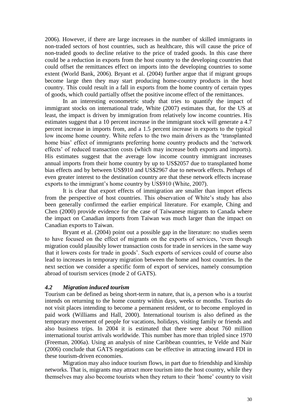2006). However, if there are large increases in the number of skilled immigrants in non-traded sectors of host countries, such as healthcare, this will cause the price of non-traded goods to decline relative to the price of traded goods. In this case there could be a reduction in exports from the host country to the developing countries that could offset the remittances effect on imports into the developing countries to some extent (World Bank, 2006). Bryant et al. (2004) further argue that if migrant groups become large then they may start producing home-country products in the host country. This could result in a fall in exports from the home country of certain types of goods, which could partially offset the positive income effect of the remittances.

In an interesting econometric study that tries to quantify the impact of immigrant stocks on international trade, White (2007) estimates that, for the US at least, the impact is driven by immigration from relatively low income countries. His estimates suggest that a 10 percent increase in the immigrant stock will generate a 4.7 percent increase in imports from, and a 1.5 percent increase in exports to the typical low income home country. White refers to the two main drivers as the "transplanted home bias' effect of immigrants preferring home country products and the 'network effects" of reduced transaction costs (which may increase both exports and imports). His estimates suggest that the average low income country immigrant increases annual imports from their home country by up to US\$2057 due to transplanted home bias effects and by between US\$910 and US\$2967 due to network effects. Perhaps of even greater interest to the destination country are that these network effects increase exports to the immigrant's home country by US\$910 (White, 2007).

It is clear that export effects of immigration are smaller than import effects from the perspective of host countries. This observation of White"s study has also been generally confirmed the earlier empirical literature. For example, Ching and Chen (2000) provide evidence for the case of Taiwanese migrants to Canada where the impact on Canadian imports from Taiwan was much larger than the impact on Canadian exports to Taiwan.

Bryant et al. (2004) point out a possible gap in the literature: no studies seem to have focused on the effect of migrants on the exports of services, "even though migration could plausibly lower transaction costs for trade in services in the same way that it lowers costs for trade in goods". Such exports of services could of course also lead to increases in temporary migration between the home and host countries. In the next section we consider a specific form of export of services, namely consumption abroad of tourism services (mode 2 of GATS).

#### *4.2 Migration induced tourism*

Tourism can be defined as being short-term in nature, that is, a person who is a tourist intends on returning to the home country within days, weeks or months. Tourists do not visit places intending to become a permanent resident, or to become employed in paid work (Williams and Hall, 2000). International tourism is also defined as the temporary movement of people for vacations, holidays, visiting family or friends and also business trips. In 2004 it is estimated that there were about 760 million international tourist arrivals worldwide. This number has more than tripled since 1970 (Freeman, 2006a). Using an analysis of nine Caribbean countries, te Velde and Nair (2006) conclude that GATS negotiations can be effective in attracting inward FDI in these tourism-driven economies.

Migration may also induce tourism flows, in part due to friendship and kinship networks. That is, migrants may attract more tourism into the host country, while they themselves may also become tourists when they return to their "home" country to visit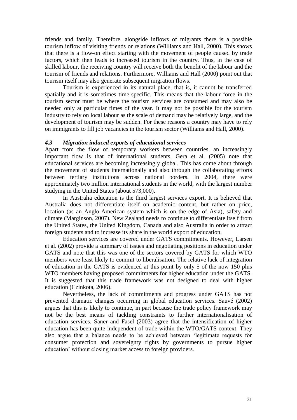friends and family. Therefore, alongside inflows of migrants there is a possible tourism inflow of visiting friends or relations (Williams and Hall, 2000). This shows that there is a flow-on effect starting with the movement of people caused by trade factors, which then leads to increased tourism in the country. Thus, in the case of skilled labour, the receiving country will receive both the benefit of the labour and the tourism of friends and relations. Furthermore, Williams and Hall (2000) point out that tourism itself may also generate subsequent migration flows.

Tourism is experienced in its natural place, that is, it cannot be transferred spatially and it is sometimes time-specific. This means that the labour force in the tourism sector must be where the tourism services are consumed and may also be needed only at particular times of the year. It may not be possible for the tourism industry to rely on local labour as the scale of demand may be relatively large, and the development of tourism may be sudden. For these reasons a country may have to rely on immigrants to fill job vacancies in the tourism sector (Williams and Hall, 2000).

#### *4.3 Migration induced exports of educational services*

Apart from the flow of temporary workers between countries, an increasingly important flow is that of international students. Gera et al. (2005) note that educational services are becoming increasingly global. This has come about through the movement of students internationally and also through the collaborating efforts between tertiary institutions across national borders. In 2004, there were approximately two million international students in the world, with the largest number studying in the United States (about 573,000).

In Australia education is the third largest services export. It is believed that Australia does not differentiate itself on academic content, but rather on price, location (as an Anglo-American system which is on the edge of Asia), safety and climate (Marginson, 2007). New Zealand needs to continue to differentiate itself from the United States, the United Kingdom, Canada and also Australia in order to attract foreign students and to increase its share in the world export of education.

Education services are covered under GATS commitments. However, Larsen et al. (2002) provide a summary of issues and negotiating positions in education under GATS and note that this was one of the sectors covered by GATS for which WTO members were least likely to commit to liberalisation. The relative lack of integration of education in the GATS is evidenced at this point by only 5 of the now 150 plus WTO members having proposed commitments for higher education under the GATS. It is suggested that this trade framework was not designed to deal with higher education (Czinkota, 2006).

Nevertheless, the lack of commitments and progress under GATS has not prevented dramatic changes occurring in global education services. Sauvé (2002) argues that this is likely to continue, in part because the trade policy framework may not be the best means of tackling constraints to further internationalisation of education services. Saner and Fasel (2003) agree that the intensification of higher education has been quite independent of trade within the WTO/GATS context. They also argue that a balance needs to be achieved between "legitimate requests for consumer protection and sovereignty rights by governments to pursue higher education" without closing market access to foreign providers.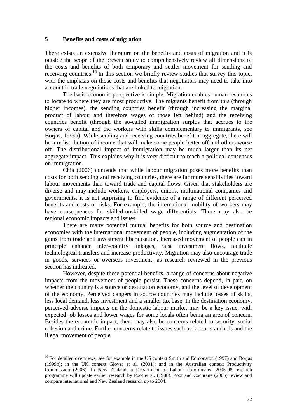#### **5 Benefits and costs of migration**

There exists an extensive literature on the benefits and costs of migration and it is outside the scope of the present study to comprehensively review all dimensions of the costs and benefits of both temporary and settler movement for sending and receiving countries.<sup>16</sup> In this section we briefly review studies that survey this topic, with the emphasis on those costs and benefits that negotiators may need to take into account in trade negotiations that are linked to migration.

The basic economic perspective is simple. Migration enables human resources to locate to where they are most productive. The migrants benefit from this (through higher incomes), the sending countries benefit (through increasing the marginal product of labour and therefore wages of those left behind) and the receiving countries benefit (through the so-called immigration surplus that accrues to the owners of capital and the workers with skills complementary to immigrants, see Borjas, 1999a). While sending and receiving countries benefit in aggregate, there will be a redistribution of income that will make some people better off and others worse off. The distributional impact of immigration may be much larger than its net aggregate impact. This explains why it is very difficult to reach a political consensus on immigration.

Chia (2006) contends that while labour migration poses more benefits than costs for both sending and receiving countries, there are far more sensitivities toward labour movements than toward trade and capital flows. Given that stakeholders are diverse and may include workers, employers, unions, multinational companies and governments, it is not surprising to find evidence of a range of different perceived benefits and costs or risks. For example, the international mobility of workers may have consequences for skilled-unskilled wage differentials. There may also be regional economic impacts and issues.

There are many potential mutual benefits for both source and destination economies with the international movement of people, including augmentation of the gains from trade and investment liberalisation. Increased movement of people can in principle enhance inter-country linkages, raise investment flows, facilitate technological transfers and increase productivity. Migration may also encourage trade in goods, services or overseas investment, as research reviewed in the previous section has indicated.

However, despite these potential benefits, a range of concerns about negative impacts from the movement of people persist. These concerns depend, in part, on whether the country is a source or destination economy, and the level of development of the economy. Perceived dangers in source countries may include losses of skills, less local demand, less investment and a smaller tax base. In the destination economy, perceived adverse impacts on the domestic labour market may be a key issue, with expected job losses and lower wages for some locals often being an area of concern. Besides the economic impact, there may also be concerns related to security, social cohesion and crime. Further concerns relate to issues such as labour standards and the illegal movement of people.

<u>.</u>

<sup>&</sup>lt;sup>16</sup> For detailed overviews, see for example in the US context Smith and Edmonston (1997) and Borjas (1999b); in the UK context Glover et al. (2001); and in the Australian context Productivity Commission (2006). In New Zealand, a Department of Labour co-ordinated 2005-08 research programme will update earlier research by Poot et al. (1988). Poot and Cochrane (2005) review and compare international and New Zealand research up to 2004.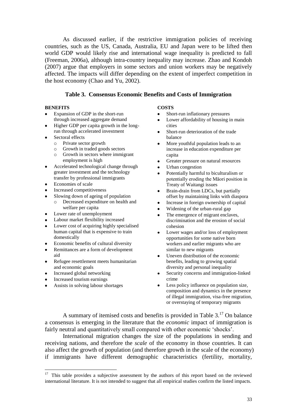As discussed earlier, if the restrictive immigration policies of receiving countries, such as the US, Canada, Australia, EU and Japan were to be lifted then world GDP would likely rise and international wage inequality is predicted to fall (Freeman, 2006a), although intra-country inequality may increase. Zhao and Kondoh (2007) argue that employers in some sectors and union workers may be negatively affected. The impacts will differ depending on the extent of imperfect competition in the host economy (Chao and Yu, 2002).

#### **Table 3. Consensus Economic Benefits and Costs of Immigration**

#### **BENEFITS**

- Expansion of GDP in the short-run through increased aggregate demand
- Higher GDP per capita growth in the long- $\bullet$ run through accelerated investment
- Sectoral effects
	- o Private sector growth
	- o Growth in traded goods sectors
	- o Growth in sectors where immigrant employment is high
- Accelerated technological change through greater investment and the technology transfer by professional immigrants
- Economies of scale  $\bullet$
- Increased competitiveness
- Slowing down of ageing of population  $\bullet$ 
	- o Decreased expenditure on health and welfare per capita
- Lower rate of unemployment
- Labour market flexibility increased
- Lower cost of acquiring highly specialised human capital that is expensive to train domestically
- Economic benefits of cultural diversity
- Remittances are a form of development aid
- Refugee resettlement meets humanitarian  $\bullet$ and economic goals
- Increased global networking
- Increased tourism earnings
- Assists in solving labour shortages

#### **COSTS**

- Short-run inflationary pressures
- Lower affordability of housing in main  $\bullet$ cities
- Short-run deterioration of the trade balance
- More youthful population leads to an  $\bullet$ increase in education expenditure per capita
- Greater pressure on natural resources
- Urban congestion
- Potentially harmful to biculturalism or potentially eroding the Māori position in Treaty of Waitangi issues
- Brain-drain from LDCs, but partially offset by maintaining links with diaspora
- Increase in foreign ownership of capital
- Widening of the urban-rural gap
- 
- The emergence of migrant enclaves, discrimination and the erosion of social cohesion
- Lower wages and/or loss of employment opportunities for some native born workers and earlier migrants who are similar to new migrants
- Uneven distribution of the economic  $\bullet$ benefits, leading to growing spatial diversity and personal inequality
- Security concerns and immigration-linked crime
- Less policy influence on population size, composition and dynamics in the presence of illegal immigration, visa-free migration, or overstaying of temporary migrants

A summary of itemised costs and benefits is provided in Table  $3<sup>17</sup>$  On balance a consensus is emerging in the literature that the *economic* impact of immigration is fairly neutral and quantitatively small compared with other economic "shocks".

International migration changes the size of the populations in sending and receiving nations, and therefore the *scale* of the economy in those countries. It can also affect the growth of population (and therefore growth in the scale of the economy) if immigrants have different demographic characteristics (fertility, mortality,

<sup>&</sup>lt;sup>17</sup> This table provides a subjective assessment by the authors of this report based on the reviewed international literature. It is not intended to suggest that all empirical studies confirm the listed impacts.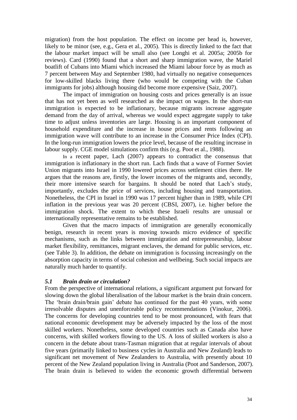migration) from the host population. The effect on income per head is, however, likely to be minor (see, e.g., Gera et al., 2005). This is directly linked to the fact that the labour market impact will be small also (see Longhi et al. 2005a; 2005b for reviews). Card (1990) found that a short and sharp immigration wave, the Mariel boatlift of Cubans into Miami which increased the Miami labour force by as much as 7 percent between May and September 1980, had virtually no negative consequences for low-skilled blacks living there (who would be competing with the Cuban immigrants for jobs) although housing did become more expensive (Saiz, 2007).

The impact of immigration on housing costs and prices generally is an issue that has not yet been as well researched as the impact on wages. In the short-run immigration is expected to be inflationary, because migrants increase aggregate demand from the day of arrival, whereas we would expect aggregate supply to take time to adjust unless inventories are large. Housing is an important component of household expenditure and the increase in house prices and rents following an immigration wave will contribute to an increase in the Consumer Price Index (CPI). In the long-run immigration lowers the price level, because of the resulting increase in labour supply. CGE model simulations confirm this (e.g. Poot et al., 1988).

In a recent paper, Lach (2007) appears to contradict the consensus that immigration is inflationary in the short run. Lach finds that a wave of Former Soviet Union migrants into Israel in 1990 lowered prices across settlement cities there. He argues that the reasons are, firstly, the lower incomes of the migrants and, secondly, their more intensive search for bargains. It should be noted that Lach"s study, importantly, excludes the price of services, including housing and transportation. Nonetheless, the CPI in Israel in 1990 was 17 percent higher than in 1989, while CPI inflation in the previous year was 20 percent (CBSI, 2007), i.e. higher before the immigration shock. The extent to which these Israeli results are unusual or internationally representative remains to be established.

Given that the macro impacts of immigration are generally economically benign, research in recent years is moving towards micro evidence of specific mechanisms, such as the links between immigration and entrepreneurship, labour market flexibility, remittances, migrant enclaves, the demand for public services, etc. (see Table 3). In addition, the debate on immigration is focussing increasingly on the absorption capacity in terms of social cohesion and wellbeing. Such social impacts are naturally much harder to quantify.

#### *5.1 Brain drain or circulation?*

From the perspective of international relations, a significant argument put forward for slowing down the global liberalisation of the labour market is the brain drain concern. The "brain drain/brain gain" debate has continued for the past 40 years, with some irresolvable disputes and unenforceable policy recommendations (Vinokur, 2006). The concerns for developing countries tend to be most pronounced, with fears that national economic development may be adversely impacted by the loss of the most skilled workers. Nonetheless, some developed countries such as Canada also have concerns, with skilled workers flowing to the US. A loss of skilled workers is also a concern in the debate about trans-Tasman migration that at regular intervals of about five years (primarily linked to business cycles in Australia and New Zealand) leads to significant net movement of New Zealanders to Australia, with presently about 10 percent of the New Zealand population living in Australia (Poot and Sanderson, 2007). The brain drain is believed to widen the economic growth differential between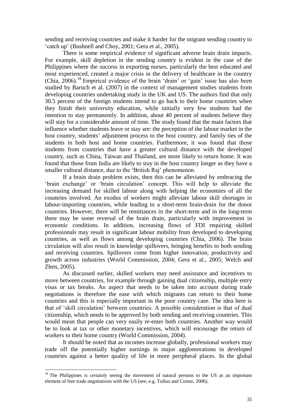sending and receiving countries and make it harder for the migrant sending country to "catch up" (Bushnell and Choy, 2001; Gera et al., 2005).

There is some empirical evidence of significant adverse brain drain impacts. For example, skill depletion in the sending country is evident in the case of the Philippines where the success in exporting nurses, particularly the best educated and most experienced, created a major crisis in the delivery of healthcare in the country (Chia,  $2006$ ).<sup>18</sup> Empirical evidence of the brain 'drain' or 'gain' issue has also been studied by Baruch et al. (2007) in the context of management studies students from developing countries undertaking study in the UK and US. The authors find that only 30.5 percent of the foreign students intend to go back to their home countries when they finish their university education, while initially very few students had the intention to stay permanently. In addition, about 40 percent of students believe they will stay for a considerable amount of time. The study found that the main factors that influence whether students leave or stay are: the perception of the labour market in the host country, students' adjustment process to the host country, and family ties of the students in both host and home countries. Furthermore, it was found that those students from countries that have a greater cultural distance with the developed country, such as China, Taiwan and Thailand, are more likely to return home. It was found that those from India are likely to stay in the host country longer as they have a smaller cultural distance, due to the "British Raj" phenomenon.

If a brain drain problem exists, then this can be alleviated by embracing the "brain exchange" or "brain circulation" concept. This will help to alleviate the increasing demand for skilled labour along with helping the economies of all the countries involved. An exodus of workers might alleviate labour skill shortages in labour-importing countries, while leading to a short-term brain-drain for the donor countries. However, there will be remittances in the short-term and in the long-term there may be some reversal of the brain drain, particularly with improvement in economic conditions. In addition, increasing flows of FDI requiring skilled professionals may result in significant labour mobility from developed to developing countries, as well as flows among developing countries (Chia, 2006). The brain circulation will also result in knowledge spillovers, bringing benefits to both sending and receiving countries. Spillovers come from higher innovation, productivity and growth across industries (World Commission, 2004; Gera et al., 2005; Welch and Zhen, 2005).

As discussed earlier, skilled workers may need assistance and incentives to move between countries, for example through gaining dual citizenship, multiple entry visas or tax breaks. An aspect that needs to be taken into account during trade negotiations is therefore the ease with which migrants can return to their home countries and this is especially important in the poor country case. The idea here is that of "skill circulation" between countries. A possible consideration is that of dual citizenship, which needs to be approved by both sending and receiving countries. This would mean that people can very easily re-enter both countries. Another way would be to look at tax or other monetary incentives, which will encourage the return of workers to their home country (World Commission, 2004).

It should be noted that as incomes increase globally, professional workers may trade off the potentially higher earnings in major agglomerations in developed countries against a better quality of life in more peripheral places. In the global

<u>.</u>

 $18$  The Philippines is certainly seeing the movement of natural persons to the US as an important element of free trade negotiations with the US (see, e.g. Tullao and Cortez, 2006).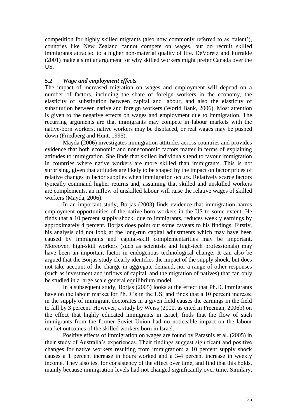competition for highly skilled migrants (also now commonly referred to as "talent"), countries like New Zealand cannot compete on wages, but do recruit skilled immigrants attracted to a higher non-material quality of life. DeVoretz and Iturralde (2001) make a similar argument for why skilled workers might prefer Canada over the US.

#### *5.2 Wage and employment effects*

The impact of increased migration on wages and employment will depend on a number of factors, including the share of foreign workers in the economy, the elasticity of substitution between capital and labour, and also the elasticity of substitution between native and foreign workers (World Bank, 2006). Most attention is given to the negative effects on wages and employment due to immigration. The recurring arguments are that immigrants may compete in labour markets with the native-born workers, native workers may be displaced, or real wages may be pushed down (Friedberg and Hunt, 1995).

Mayda (2006) investigates immigration attitudes across countries and provides evidence that both economic and noneconomic factors matter in terms of explaining attitudes to immigration. She finds that skilled individuals tend to favour immigration in countries where native workers are more skilled than immigrants. This is not surprising, given that attitudes are likely to be shaped by the impact on factor prices of relative changes in factor supplies when immigration occurs. Relatively scarce factors typically command higher returns and, assuming that skilled and unskilled workers are complements, an inflow of unskilled labour will raise the relative wages of skilled workers (Mayda, 2006).

In an important study, Borjas (2003) finds evidence that immigration harms employment opportunities of the native-born workers in the US to some extent. He finds that a 10 percent supply shock, due to immigrants, reduces weekly earnings by approximately 4 percent. Borjas does point out some caveats to his findings. Firstly, his analysis did not look at the long-run capital adjustments which may have been caused by immigrants and capital-skill complementarities may be important. Moreover, high-skill workers (such as scientists and high-tech professionals) may have been an important factor in endogenous technological change. It can also be argued that the Borjas study clearly identifies the impact of the supply shock, but does not take account of the change in aggregate demand, nor a range of other responses (such as investment and inflows of capital, and the migration of natives) that can only be studied in a large scale general equilibrium model.

In a subsequent study, Borjas (2005) looks at the effect that Ph.D. immigrants have on the labour market for Ph.D.'s in the US, and finds that a 10 percent increase in the supply of immigrant doctorates in a given field causes the earnings in the field to fall by 3 percent. However, a study by Weiss (2000, as cited in Freeman, 2006b) on the effect that highly educated immigrants in Israel, finds that the flow of such immigrants from the former Soviet Union had no noticeable impact on the labour market outcomes of the skilled workers born in Israel.

Positive effects of immigration on wages are found by Parasnis et al. (2005) in their study of Australia"s experiences. Their findings suggest significant and positive changes for native workers resulting from immigration: a 10 percent supply shock causes a 1 percent increase in hours worked and a 3-4 percent increase in weekly income. They also test for consistency of the effect over time, and find that this holds, mainly because immigration levels had not changed significantly over time. Similary,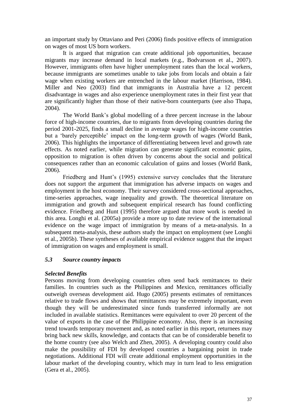an important study by Ottaviano and Peri (2006) finds positive effects of immigration on wages of most US born workers.

It is argued that migration can create additional job opportunities, because migrants may increase demand in local markets (e.g., Bodvarsson et al., 2007). However, immigrants often have higher unemployment rates than the local workers, because immigrants are sometimes unable to take jobs from locals and obtain a fair wage when existing workers are entrenched in the labour market (Harrison, 1984). Miller and Neo (2003) find that immigrants in Australia have a 12 percent disadvantage in wages and also experience unemployment rates in their first year that are significantly higher than those of their native-born counterparts (see also Thapa, 2004).

The World Bank"s global modelling of a three percent increase in the labour force of high-income countries, due to migrants from developing countries during the period 2001-2025, finds a small decline in average wages for high-income countries but a "barely perceptible" impact on the long-term growth of wages (World Bank, 2006). This highlights the importance of differentiating between level and growth rate effects. As noted earlier, while migration can generate significant economic gains, opposition to migration is often driven by concerns about the social and political consequences rather than an economic calculation of gains and losses (World Bank, 2006).

Friedberg and Hunt's (1995) extensive survey concludes that the literature does not support the argument that immigration has adverse impacts on wages and employment in the host economy. Their survey considered cross-sectional approaches, time-series approaches, wage inequality and growth. The theoretical literature on immigration and growth and subsequent empirical research has found conflicting evidence. Friedberg and Hunt (1995) therefore argued that more work is needed in this area. Longhi et al. (2005a) provide a more up to date review of the international evidence on the wage impact of immigration by means of a meta-analysis. In a subsequent meta-analysis, these authors study the impact on employment (see Longhi et al., 2005b). These syntheses of available empirical evidence suggest that the impact of immigration on wages and employment is small.

#### *5.3 Source country impacts*

#### *Selected Benefits*

Persons moving from developing countries often send back remittances to their families. In countries such as the Philippines and Mexico, remittances officially outweigh overseas development aid. Hugo (2005) presents estimates of remittances relative to trade flows and shows that remittances may be extremely important, even though they will be underestimated since funds transferred informally are not included in available statistics. Remittances were equivalent to over 20 percent of the value of exports in the case of the Philippine economy. Also, there is an increasing trend towards temporary movement and, as noted earlier in this report, returnees may bring back new skills, knowledge, and contacts that can be of considerable benefit to the home country (see also Welch and Zhen, 2005). A developing country could also make the possibility of FDI by developed countries a bargaining point in trade negotiations. Additional FDI will create additional employment opportunities in the labour market of the developing country, which may in turn lead to less emigration (Gera et al., 2005).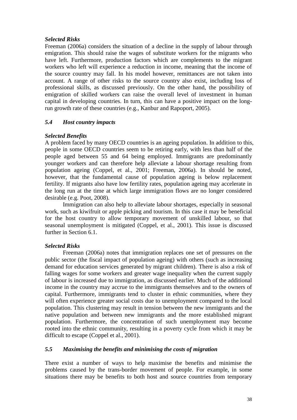#### *Selected Risks*

Freeman (2006a) considers the situation of a decline in the supply of labour through emigration. This should raise the wages of substitute workers for the migrants who have left. Furthermore, production factors which are complements to the migrant workers who left will experience a reduction in income, meaning that the income of the source country may fall. In his model however, remittances are not taken into account. A range of other risks to the source country also exist, including loss of professional skills, as discussed previously. On the other hand, the possibility of emigration of skilled workers can raise the overall level of investment in human capital in developing countries. In turn, this can have a positive impact on the longrun growth rate of these countries (e.g., Kanbur and Rapoport, 2005).

#### *5.4 Host country impacts*

#### *Selected Benefits*

A problem faced by many OECD countries is an ageing population. In addition to this, people in some OECD countries seem to be retiring early, with less than half of the people aged between 55 and 64 being employed. Immigrants are predominantly younger workers and can therefore help alleviate a labour shortage resulting from population ageing (Coppel, et al., 2001; Freeman, 2006a). In should be noted, however, that the fundamental cause of population ageing is below replacement fertility. If migrants also have low fertility rates, population ageing may accelerate in the long run at the time at which large immigration flows are no longer considered desirable (e.g. Poot, 2008).

Immigration can also help to alleviate labour shortages, especially in seasonal work, such as kiwifruit or apple picking and tourism. In this case it may be beneficial for the host country to allow temporary movement of unskilled labour, so that seasonal unemployment is mitigated (Coppel, et al., 2001). This issue is discussed further in Section 6.1.

#### *Selected Risks*

Freeman (2006a) notes that immigration replaces one set of pressures on the public sector (the fiscal impact of population ageing) with others (such as increasing demand for education services generated by migrant children). There is also a risk of falling wages for some workers and greater wage inequality when the current supply of labour is increased due to immigration, as discussed earlier. Much of the additional income in the country may accrue to the immigrants themselves and to the owners of capital. Furthermore, immigrants tend to cluster in ethnic communities, where they will often experience greater social costs due to unemployment compared to the local population. This clustering may result in tension between the new immigrants and the native population and between new immigrants and the more established migrant population. Furthermore, the concentration of such unemployment may become rooted into the ethnic community, resulting in a poverty cycle from which it may be difficult to escape (Coppel et al., 2001).

#### *5.5 Maximising the benefits and minimising the costs of migration*

There exist a number of ways to help maximise the benefits and minimise the problems caused by the trans-border movement of people. For example, in some situations there may be benefits to both host and source countries from temporary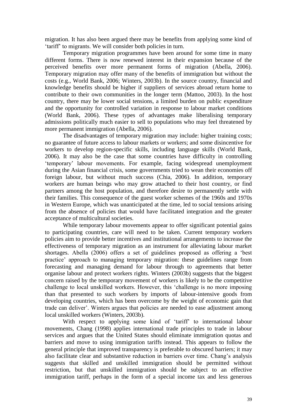migration. It has also been argued there may be benefits from applying some kind of "tariff" to migrants. We will consider both policies in turn.

Temporary migration programmes have been around for some time in many different forms. There is now renewed interest in their expansion because of the perceived benefits over more permanent forms of migration (Abella, 2006). Temporary migration may offer many of the benefits of immigration but without the costs (e.g., World Bank, 2006; Winters, 2003b). In the source country, financial and knowledge benefits should be higher if suppliers of services abroad return home to contribute to their own communities in the longer term (Mattoo, 2003). In the host country, there may be lower social tensions, a limited burden on public expenditure and the opportunity for controlled variation in response to labour market conditions (World Bank, 2006). These types of advantages make liberalising temporary admissions politically much easier to sell to populations who may feel threatened by more permanent immigration (Abella, 2006).

The disadvantages of temporary migration may include: higher training costs; no guarantee of future access to labour markets or workers; and some disincentive for workers to develop region-specific skills, including language skills (World Bank, 2006). It may also be the case that some countries have difficulty in controlling "temporary" labour movements. For example, facing widespread unemployment during the Asian financial crisis, some governments tried to wean their economies off foreign labour, but without much success (Chia, 2006). In addition, temporary workers are human beings who may grow attached to their host country, or find partners among the host population, and therefore desire to permanently settle with their families. This consequence of the guest worker schemes of the 1960s and 1970s in Western Europe, which was unanticipated at the time, led to social tensions arising from the absence of policies that would have facilitated integration and the greater acceptance of multicultural societies.

While temporary labour movements appear to offer significant potential gains to participating countries, care will need to be taken. Current temporary workers policies aim to provide better incentives and institutional arrangements to increase the effectiveness of temporary migration as an instrument for alleviating labour market shortages. Abella (2006) offers a set of guidelines proposed as offering a "best practice" approach to managing temporary migration: these guidelines range from forecasting and managing demand for labour through to agreements that better organise labour and protect workers rights. Winters (2003b) suggests that the biggest concern raised by the temporary movement of workers is likely to be the competitive challenge to local unskilled workers. However, this "challenge is no more imposing than that presented to such workers by imports of labour-intensive goods from developing countries, which has been overcome by the weight of economic gain that trade can deliver". Winters argues that policies are needed to ease adjustment among local unskilled workers (Winters, 2003b).

With respect to applying some kind of 'tariff' to international labour movements, Chang (1998) applies international trade principles to trade in labour services and argues that the United States should eliminate immigration quotas and barriers and move to using immigration tariffs instead. This appears to follow the general principle that improved transparency is preferable to obscured barriers; it may also facilitate clear and substantive reduction in barriers over time. Chang"s analysis suggests that skilled and unskilled immigration should be permitted without restriction, but that unskilled immigration should be subject to an effective immigration tariff, perhaps in the form of a special income tax and less generous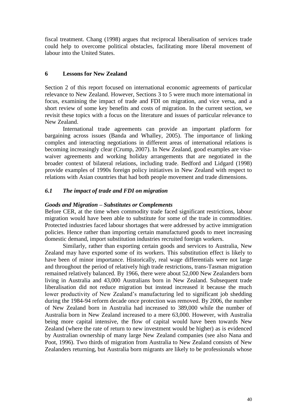fiscal treatment. Chang (1998) argues that reciprocal liberalisation of services trade could help to overcome political obstacles, facilitating more liberal movement of labour into the United States.

#### **6 Lessons for New Zealand**

Section 2 of this report focused on international economic agreements of particular relevance to New Zealand. However, Sections 3 to 5 were much more international in focus, examining the impact of trade and FDI on migration, and vice versa, and a short review of some key benefits and costs of migration. In the current section, we revisit these topics with a focus on the literature and issues of particular relevance to New Zealand.

International trade agreements can provide an important platform for bargaining across issues (Banda and Whalley, 2005). The importance of linking complex and interacting negotiations in different areas of international relations is becoming increasingly clear (Crump, 2007). In New Zealand, good examples are visawaiver agreements and working holiday arrangements that are negotiated in the broader context of bilateral relations, including trade. Bedford and Lidgard (1998) provide examples of 1990s foreign policy initiatives in New Zealand with respect to relations with Asian countries that had both people movement and trade dimensions.

#### *6.1 The impact of trade and FDI on migration*

#### *Goods and Migration – Substitutes or Complements*

Before CER, at the time when commodity trade faced significant restrictions, labour migration would have been able to substitute for some of the trade in commodities. Protected industries faced labour shortages that were addressed by active immigration policies. Hence rather than importing certain manufactured goods to meet increasing domestic demand, import substitution industries recruited foreign workers.

Similarly, rather than exporting certain goods and services to Australia, New Zealand may have exported some of its workers. This substitution effect is likely to have been of minor importance. Historically, real wage differentials were not large and throughout the period of relatively high trade restrictions, trans-Tasman migration remained relatively balanced. By 1966, there were about 52,000 New Zealanders born living in Australia and 43,000 Australians born in New Zealand. Subsequent trade liberalisation did not reduce migration but instead increased it because the much lower productivity of New Zealand"s manufacturing led to significant job shedding during the 1984-94 reform decade once protection was removed. By 2006, the number of New Zealand born in Australia had increased to 389,000 while the number of Australia born in New Zealand increased to a mere 63,000. However, with Australia being more capital intensive, the flow of capital would have been towards New Zealand (where the rate of return to new investment would be higher) as is evidenced by Australian ownership of many large New Zealand companies (see also Nana and Poot, 1996). Two thirds of migration from Australia to New Zealand consists of New Zealanders returning, but Australia born migrants are likely to be professionals whose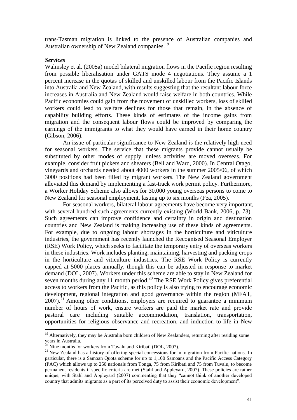trans-Tasman migration is linked to the presence of Australian companies and Australian ownership of New Zealand companies.<sup>19</sup>

#### *Services*

<u>.</u>

Walmsley et al. (2005a) model bilateral migration flows in the Pacific region resulting from possible liberalisation under GATS mode 4 negotiations. They assume a 1 percent increase in the quotas of skilled and unskilled labour from the Pacific Islands into Australia and New Zealand, with results suggesting that the resultant labour force increases in Australia and New Zealand would raise welfare in both countries. While Pacific economies could gain from the movement of unskilled workers, loss of skilled workers could lead to welfare declines for those that remain, in the absence of capability building efforts. These kinds of estimates of the income gains from migration and the consequent labour flows could be improved by comparing the earnings of the immigrants to what they would have earned in their home country (Gibson, 2006).

An issue of particular significance to New Zealand is the relatively high need for seasonal workers. The service that these migrants provide cannot usually be substituted by other modes of supply, unless activities are moved overseas. For example, consider fruit pickers and shearers (Bell and Ward, 2000). In Central Otago, vineyards and orchards needed about 4000 workers in the summer 2005/06, of which 3000 positions had been filled by migrant workers. The New Zealand government alleviated this demand by implementing a fast-track work permit policy. Furthermore, a Worker Holiday Scheme also allows for 30,000 young overseas persons to come to New Zealand for seasonal employment, lasting up to six months (Fea, 2005).

For seasonal workers, bilateral labour agreements have become very important, with several hundred such agreements currently existing (World Bank, 2006, p. 73). Such agreements can improve confidence and certainty in origin and destination countries and New Zealand is making increasing use of these kinds of agreements. For example, due to ongoing labour shortages in the horticulture and viticulture industries, the government has recently launched the Recognised Seasonal Employer (RSE) Work Policy, which seeks to facilitate the temporary entry of overseas workers in these industries. Work includes planting, maintaining, harvesting and packing crops in the horticulture and viticulture industries. The RSE Work Policy is currently capped at 5000 places annually, though this can be adjusted in response to market demand (DOL, 2007). Workers under this scheme are able to stay in New Zealand for seven months during any 11 month period.<sup>20</sup> The RSE Work Policy gives preferential access to workers from the Pacific, as this policy is also trying to encourage economic development, regional integration and good governance within the region (MFAT,  $2007$ ).<sup>21</sup> Among other conditions, employers are required to guarantee a minimum number of hours of work, ensure workers are paid the market rate and provide pastoral care including suitable accommodation, translation, transportation, opportunities for religious observance and recreation, and induction to life in New

<sup>&</sup>lt;sup>19</sup> Alternatively, they may be Australia born children of New Zealanders, returning after residing some years in Australia.

 $^{20}$  Nine months for workers from Tuvalu and Kiribati (DOL, 2007).

 $21$  New Zealand has a history of offering special concessions for immigration from Pacific nations. In particular, there is a Samoan Quota scheme for up to 1,100 Samoans and the Pacific Access Category (PAC) which allows up to 250 nationals from Tonga, 75 from Kiribati and 75 from Tuvalu, to become permanent residents if specific criteria are met (Stahl and Appleyard, 2007). These policies are rather unique, with Stahl and Appleyard (2007) commenting that they "cannot think of another developed country that admits migrants as a part of its perceived duty to assist their economic development".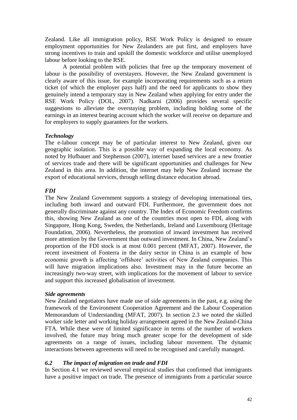Zealand. Like all immigration policy, RSE Work Policy is designed to ensure employment opportunities for New Zealanders are put first, and employers have strong incentives to train and upskill the domestic workforce and utilise unemployed labour before looking to the RSE.

A potential problem with policies that free up the temporary movement of labour is the possibility of overstayers. However, the New Zealand government is clearly aware of this issue, for example incorporating requirements such as a return ticket (of which the employer pays half) and the need for applicants to show they genuinely intend a temporary stay in New Zealand when applying for entry under the RSE Work Policy (DOL, 2007). Nadkarni (2006) provides several specific suggestions to alleviate the overstaying problem, including holding some of the earnings in an interest bearing account which the worker will receive on departure and for employers to supply guarantees for the workers.

#### *Technology*

The e-labour concept may be of particular interest to New Zealand, given our geographic isolation. This is a possible way of expanding the local economy. As noted by Hufbauer and Stephenson (2007), internet based services are a new frontier of services trade and there will be significant opportunities and challenges for New Zealand in this area. In addition, the internet may help New Zealand increase the export of educational services, through selling distance education abroad.

#### *FDI*

The New Zealand Government supports a strategy of developing international ties, including both inward and outward FDI. Furthermore, the government does not generally discriminate against any country. The Index of Economic Freedom confirms this, showing New Zealand as one of the countries most open to FDI, along with Singapore, Hong Kong, Sweden, the Netherlands, Ireland and Luxembourg (Heritage Foundation, 2006). Nevertheless, the promotion of inward investment has received more attention by the Government than outward investment. In China, New Zealand"s proportion of the FDI stock is at most 0.001 percent (MFAT, 2007). However, the recent investment of Fonterra in the dairy sector in China is an example of how economic growth is affecting "offshore" activities of New Zealand companies. This will have migration implications also. Investment may in the future become an increasingly two-way street, with implications for the movement of labour to service and support this increased globalisation of investment.

#### *Side agreements*

New Zealand negotiators have made use of side agreements in the past, e.g. using the framework of the Environment Cooperation Agreement and the Labour Cooperation Memorandum of Understanding (MFAT, 2007). In section 2.3 we noted the skilled worker side letter and working holiday arrangement agreed in the New Zealand-China FTA. While these were of limited significance in terms of the number of workers involved, the future may bring much greater scope for the development of side agreements on a range of issues, including labour movement. The dynamic interactions between agreements will need to be recognised and carefully managed.

#### *6.2 The impact of migration on trade and FDI*

In Section 4.1 we reviewed several empirical studies that confirmed that immigrants have a positive impact on trade. The presence of immigrants from a particular source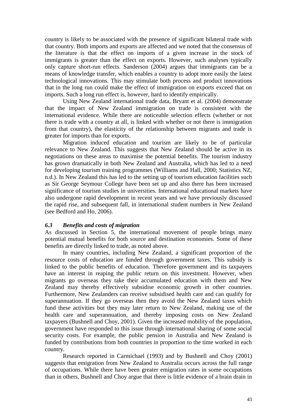country is likely to be associated with the presence of significant bilateral trade with that country. Both imports and exports are affected and we noted that the consensus of the literature is that the effect on imports of a given increase in the stock of immigrants is greater than the effect on exports. However, such analyses typically only capture short-run effects. Sanderson (2004) argues that immigrants can be a means of knowledge transfer, which enables a country to adopt more easily the latest technological innovations. This may stimulate both process and product innovations that in the long run could make the effect of immigration on exports exceed that on imports. Such a long run effect is, however, hard to identify empirically.

Using New Zealand international trade data, Bryant et al. (2004) demonstrate that the impact of New Zealand immigration on trade is consistent with the international evidence. While there are noticeable selection effects (whether or not there is trade with a country at all, is linked with whether or not there is immigration from that country), the elasticity of the relationship between migrants and trade is greater for imports than for exports.

Migration induced education and tourism are likely to be of particular relevance to New Zealand. This suggests that New Zealand should be active in its negotiations on these areas to maximise the potential benefits. The tourism industry has grown dramatically in both New Zealand and Australia, which has led to a need for developing tourism training programmes (Williams and Hall, 2000; Statistics NZ, n.d.). In New Zealand this has led to the setting up of tourism education facilities such as Sir George Seymour College have been set up and also there has been increased significance of tourism studies in universities. International educational markets have also undergone rapid development in recent years and we have previously discussed the rapid rise, and subsequent fall, in international student numbers in New Zealand (see Bedford and Ho, 2006).

#### *6.3 Benefits and costs of migration*

As discussed in Section 5, the international movement of people brings many potential mutual benefits for both source and destination economies. Some of these benefits are directly linked to trade, as noted above.

In many countries, including New Zealand, a significant proportion of the resource costs of education are funded through government taxes. This subsidy is linked to the public benefits of education. Therefore government and its taxpayers have an interest in reaping the public return on this investment. However, when migrants go overseas they take their accumulated education with them and New Zealand may thereby effectively subsidise economic growth in other countries. Furthermore, New Zealanders can receive subsidised health care and can qualify for superannuation. If they go overseas then they avoid the New Zealand taxes which fund these activities but they may later return to New Zealand, making use of the health care and superannuation, and thereby imposing costs on New Zealand taxpayers (Bushnell and Choy, 2001). Given the increased mobility of the population, government have responded to this issue through international sharing of some social security costs. For example, the public pension in Australia and New Zealand is funded by contributions from both countries in proportion to the time worked in each country.

Research reported in Carmichael (1993) and by Bushnell and Choy (2001) suggests that emigration from New Zealand to Australia occurs across the full range of occupations. While there have been greater emigration rates in some occupations than in others, Bushnell and Choy argue that there is little evidence of a brain drain in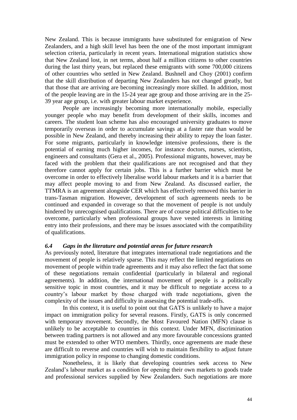New Zealand. This is because immigrants have substituted for emigration of New Zealanders, and a high skill level has been the one of the most important immigrant selection criteria, particularly in recent years. International migration statistics show that New Zealand lost, in net terms, about half a million citizens to other countries during the last thirty years, but replaced these emigrants with some 700,000 citizens of other countries who settled in New Zealand. Bushnell and Choy (2001) confirm that the skill distribution of departing New Zealanders has not changed greatly, but that those that are arriving are becoming increasingly more skilled. In addition, most of the people leaving are in the 15-24 year age group and those arriving are in the 25- 39 year age group, i.e. with greater labour market experience.

People are increasingly becoming more internationally mobile, especially younger people who may benefit from development of their skills, incomes and careers. The student loan scheme has also encouraged university graduates to move temporarily overseas in order to accumulate savings at a faster rate than would be possible in New Zealand, and thereby increasing their ability to repay the loan faster. For some migrants, particularly in knowledge intensive professions, there is the potential of earning much higher incomes, for instance doctors, nurses, scientists, engineers and consultants (Gera et al., 2005). Professional migrants, however, may be faced with the problem that their qualifications are not recognised and that they therefore cannot apply for certain jobs. This is a further barrier which must be overcome in order to effectively liberalise world labour markets and it is a barrier that may affect people moving to and from New Zealand. As discussed earlier, the TTMRA is an agreement alongside CER which has effectively removed this barrier in trans-Tasman migration. However, development of such agreements needs to be continued and expanded in coverage so that the movement of people is not unduly hindered by unrecognised qualifications. There are of course political difficulties to be overcome, particularly when professional groups have vested interests in limiting entry into their professions, and there may be issues associated with the compatibility of qualifications.

#### *6.4 Gaps in the literature and potential areas for future research*

As previously noted, literature that integrates international trade negotiations and the movement of people is relatively sparse. This may reflect the limited negotiations on movement of people within trade agreements and it may also reflect the fact that some of these negotiations remain confidential (particularly in bilateral and regional agreements). In addition, the international movement of people is a politically sensitive topic in most countries, and it may be difficult to negotiate access to a country"s labour market by those charged with trade negotiations, given the complexity of the issues and difficulty in assessing the potential trade-offs.

In this context, it is useful to point out that GATS is unlikely to have a major impact on immigration policy for several reasons. Firstly, GATS is only concerned with temporary movement. Secondly, the Most Favoured Nation (MFN) clause is unlikely to be acceptable to countries in this context. Under MFN, discrimination between trading partners is not allowed and any more favourable concessions granted must be extended to other WTO members. Thirdly, once agreements are made these are difficult to reverse and countries will wish to maintain flexibility to adjust future immigration policy in response to changing domestic conditions.

Nonetheless, it is likely that developing countries seek access to New Zealand"s labour market as a condition for opening their own markets to goods trade and professional services supplied by New Zealanders. Such negotiations are more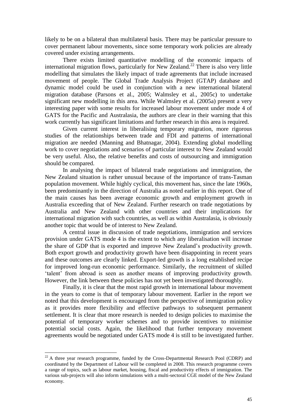likely to be on a bilateral than multilateral basis. There may be particular pressure to cover permanent labour movements, since some temporary work policies are already covered under existing arrangements.

There exists limited quantitative modelling of the economic impacts of international migration flows, particularly for New Zealand.<sup>22</sup> There is also very little modelling that simulates the likely impact of trade agreements that include increased movement of people. The Global Trade Analysis Project (GTAP) database and dynamic model could be used in conjunction with a new international bilateral migration database (Parsons et al., 2005; Walmsley et al., 2005c) to undertake significant new modelling in this area. While Walmsley et al. (2005a) present a very interesting paper with some results for increased labour movement under mode 4 of GATS for the Pacific and Australasia, the authors are clear in their warning that this work currently has significant limitations and further research in this area is required.

Given current interest in liberalising temporary migration, more rigorous studies of the relationships between trade and FDI and patterns of international migration are needed (Manning and Bhatnagar, 2004). Extending global modelling work to cover negotiations and scenarios of particular interest to New Zealand would be very useful. Also, the relative benefits and costs of outsourcing and immigration should be compared.

In analysing the impact of bilateral trade negotiations and immigration, the New Zealand situation is rather unusual because of the importance of trans-Tasman population movement. While highly cyclical, this movement has, since the late 1960s, been predominantly in the direction of Australia as noted earlier in this report. One of the main causes has been average economic growth and employment growth in Australia exceeding that of New Zealand. Further research on trade negotiations by Australia and New Zealand with other countries and their implications for international migration with such countries, as well as within Australasia, is obviously another topic that would be of interest to New Zealand.

A central issue in discussion of trade negotiations, immigration and services provision under GATS mode 4 is the extent to which any liberalisation will increase the share of GDP that is exported and improve New Zealand"s productivity growth. Both export growth and productivity growth have been disappointing in recent years and these outcomes are clearly linked. Export-led growth is a long established recipe for improved long-run economic performance. Similarly, the recruitment of skilled "talent" from abroad is seen as another means of improving productivity growth. However, the link between these policies has not yet been investigated thoroughly.

Finally, it is clear that the most rapid growth in international labour movement in the years to come is that of temporary labour movement. Earlier in the report we noted that this development is encouraged from the perspective of immigration policy as it provides more flexibility and effective pathways to subsequent permanent settlement. It is clear that more research is needed to design policies to maximise the potential of temporary worker schemes and to provide incentives to minimise potential social costs. Again, the likelihood that further temporary movement agreements would be negotiated under GATS mode 4 is still to be investigated further.

<u>.</u>

 $22$  A three year research programme, funded by the Cross-Departmental Research Pool (CDRP) and coordinated by the Department of Labour will be completed in 2008. This research programme covers a range of topics, such as labour market, housing, fiscal and productivity effects of immigration. The various sub-projects will also inform simulations with a multi-sectoral CGE model of the New Zealand economy.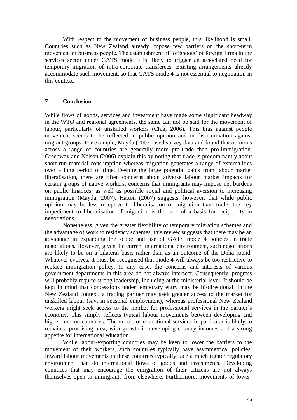With respect to the movement of business people, this likelihood is small. Countries such as New Zealand already impose few barriers on the short-term movement of business people. The establishment of "offshoots" of foreign firms in the services sector under GATS mode 3 is likely to trigger an associated need for temporary migration of intra-corporate transferees. Existing arrangements already accommodate such movement, so that GATS mode 4 is not essential to negotiation in this context.

#### **7 Conclusion**

While flows of goods, services and investment have made some significant headway in the WTO and regional agreements, the same can not be said for the movement of labour, particularly of unskilled workers (Chia, 2006). This bias against people movement seems to be reflected in public opinion and in discrimination against migrant groups. For example, Mayda (2007) used survey data and found that opinions across a range of countries are generally more pro-trade than pro-immigration. Greenway and Nelson (2006) explain this by noting that trade is predominantly about short-run material consumption whereas migration generates a range of externalities over a long period of time. Despite the large potential gains from labour market liberalisation, there are often concerns about adverse labour market impacts for certain groups of native workers, concerns that immigrants may impose net burdens on public finances, as well as possible social and political aversion to increasing immigration (Mayda, 2007). Hatton (2007) suggests, however, that while public opinion may be less receptive to liberalisation of migration than trade, the key impediment to liberalisation of migration is the lack of a basis for reciprocity in negotiations.

Nonetheless, given the greater flexibility of temporary migration schemes and the advantage of work to residency schemes, this review suggests that there may be an advantage in expanding the scope and use of GATS mode 4 policies in trade negotiations. However, given the current international environment, such negotiations are likely to be on a bilateral basis rather than as an outcome of the Doha round. Whatever evolves, it must be recognised that mode 4 will always be too restrictive to replace immigration policy. In any case, the concerns and interests of various government departments in this area do not always intersect. Consequently, progress will probably require strong leadership, including at the ministerial level. It should be kept in mind that concessions under temporary entry may be bi-directional. In the New Zealand context, a trading partner may seek greater access to the market for unskilled labour (say, in seasonal employment), whereas professional New Zealand workers might seek access to the market for professional services in the partner's economy. This simply reflects typical labour movements between developing and higher income countries. The export of educational services in particular is likely to remain a promising area, with growth in developing country incomes and a strong appetite for international education.

While labour-exporting countries may be keen to lower the barriers to the movement of their workers, such countries typically have asymmetrical policies. Inward labour movements in these countries typically face a much tighter regulatory environment than do international flows of goods and investments. Developing countries that may encourage the emigration of their citizens are not always themselves open to immigrants from elsewhere. Furthermore, movements of lower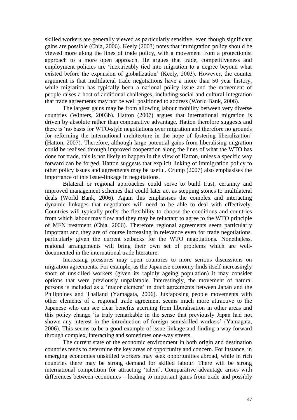skilled workers are generally viewed as particularly sensitive, even though significant gains are possible (Chia, 2006). Keely (2003) notes that immigration policy should be viewed more along the lines of trade policy, with a movement from a protectionist approach to a more open approach. He argues that trade, competitiveness and employment policies are "inextricably tied into migration to a degree beyond what existed before the expansion of globalization" (Keely, 2003). However, the counter argument is that multilateral trade negotiations have a more than 50 year history, while migration has typically been a national policy issue and the movement of people raises a host of additional challenges, including social and cultural integration that trade agreements may not be well positioned to address (World Bank, 2006).

The largest gains may be from allowing labour mobility between very diverse countries (Winters, 2003b). Hatton (2007) argues that international migration is driven by absolute rather than comparative advantage. Hatton therefore suggests and there is "no basis for WTO-style negotiations over migration and therefore no grounds for reforming the international architecture in the hope of fostering liberalization' (Hatton, 2007). Therefore, although large potential gains from liberalising migration could be realised through improved cooperation along the lines of what the WTO has done for trade, this is not likely to happen in the view of Hatton, unless a specific way forward can be forged. Hatton suggests that explicit linking of immigration policy to other policy issues and agreements may be useful. Crump (2007) also emphasises the importance of this issue-linkage in negotiations.

Bilateral or regional approaches could serve to build trust, certainty and improved management schemes that could later act as stepping stones to multilateral deals (World Bank, 2006). Again this emphasises the complex and interacting dynamic linkages that negotiators will need to be able to deal with effectively. Countries will typically prefer the flexibility to choose the conditions and countries from which labour may flow and they may be reluctant to agree to the WTO principle of MFN treatment (Chia, 2006). Therefore regional agreements seem particularly important and they are of course increasing in relevance even for trade negotiations, particularly given the current setbacks for the WTO negotiations. Nonetheless, regional arrangements will bring their own set of problems which are welldocumented in the international trade literature.

Increasing pressures may open countries to more serious discussions on migration agreements. For example, as the Japanese economy finds itself increasingly short of unskilled workers (given its rapidly ageing population) it may consider options that were previously unpalatable. Interestingly, the movement of natural persons is included as a "major element" in draft agreements between Japan and the Philippines and Thailand (Yamagata, 2006). Juxtaposing people movements with other elements of a regional trade agreement seems much more attractive to the Japanese who can see clear benefits accruing from liberalisation in other areas and this policy change "is truly remarkable in the sense that previously Japan had not shown any interest in the introduction of foreign semiskilled workers' (Yamagata, 2006). This seems to be a good example of issue-linkage and finding a way forward through complex, interacting and sometimes one-way streets.

The current state of the economic environment in both origin and destination countries tends to determine the key areas of opportunity and concern. For instance, in emerging economies unskilled workers may seek opportunities abroad, while in rich countries there may be strong demand for skilled labour. There will be strong international competition for attracting "talent". Comparative advantage arises with differences between economies – leading to important gains from trade and possibly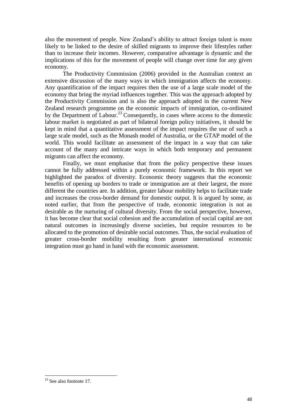also the movement of people. New Zealand"s ability to attract foreign talent is more likely to be linked to the desire of skilled migrants to improve their lifestyles rather than to increase their incomes. However, comparative advantage is dynamic and the implications of this for the movement of people will change over time for any given economy.

The Productivity Commission (2006) provided in the Australian context an extensive discussion of the many ways in which immigration affects the economy. Any quantification of the impact requires then the use of a large scale model of the economy that bring the myriad influences together. This was the approach adopted by the Productivity Commission and is also the approach adopted in the current New Zealand research programme on the economic impacts of immigration, co-ordinated by the Department of Labour.<sup>23</sup> Consequently, in cases where access to the domestic labour market is negotiated as part of bilateral foreign policy initiatives, it should be kept in mind that a quantitative assessment of the impact requires the use of such a large scale model, such as the Monash model of Australia, or the GTAP model of the world. This would facilitate an assessment of the impact in a way that can take account of the many and intricate ways in which both temporary and permanent migrants can affect the economy.

Finally, we must emphasise that from the policy perspective these issues cannot be fully addressed within a purely economic framework. In this report we highlighted the paradox of diversity. Economic theory suggests that the economic benefits of opening up borders to trade or immigration are at their largest, the more different the countries are. In addition, greater labour mobility helps to facilitate trade and increases the cross-border demand for domestic output. It is argued by some, as noted earlier, that from the perspective of trade, economic integration is not as desirable as the nurturing of cultural diversity. From the social perspective, however, it has become clear that social cohesion and the accumulation of social capital are not natural outcomes in increasingly diverse societies, but require resources to be allocated to the promotion of desirable social outcomes. Thus, the social evaluation of greater cross-border mobility resulting from greater international economic integration must go hand in hand with the economic assessment.

1

 $23$  See also footnote 17.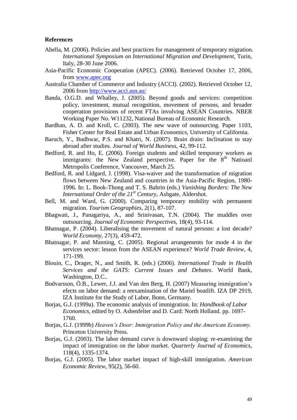#### **References**

- Abella, M. (2006). Policies and best practices for management of temporary migration. *International Symposium on International Migration and Development*, Turin, Italy, 28-30 June 2006.
- Asia-Pacific Economic Cooperation (APEC). (2006). Retrieved October 17, 2006, from [www.apec.org](http://www.apec.org/)
- Australia Chamber of Commerce and Industry (ACCI). (2002). Retrieved October 12, 2006 from<http://www.acci.asn.au/>
- Banda, O.G.D. and Whalley, J. (2005). Beyond goods and services: competition policy, investment, mutual recognition, movement of persons, and broader cooperation provisions of recent FTAs involving ASEAN Countries. NBER Working Paper No. W11232, National Bureau of Economic Research.
- Bardhan, A. D. and Kroll, C. (2003). The new wave of outsourcing. Paper 1103, Fisher Center for Real Estate and Urban Economics, University of California.
- Baruch, Y., Budhwar, P.S. and Khatri, N. (2007). Brain drain: Inclination to stay abroad after studies. *Journal of World Business*, 42, 99-112.
- Bedford, R. and Ho, E. (2006). Foreign students and skilled temporary workers as immigrants: the New Zealand perspective. Paper for the 8<sup>th</sup> Natioanl Metropolis Conference, Vancouver, March 25.
- Bedford, R. and Lidgard, J. (1998). Visa-waiver and the transformation of migration flows between New Zealand and countries in the Asia-Pacific Region, 1980- 1996. In: L. Book-Thong and T. S. Bahrin (eds.) *Vanishing Borders: The New International Order of the 21st Century*, Ashgate, Aldershot.
- Bell, M. and Ward, G. (2000). Comparing temporary mobility with permanent migration. *Tourism Geographies,* 2(1), 87-107.
- Bhagwati, J., Panagariya, A., and Srinivasan, T.N. (2004). The muddles over outsourcing. *Journal of Economic Perspectives*, 18(4), 93-114.
- Bhatnagar, P. (2004). Liberalising the movement of natural persons: a lost decade? *World Economy*, 27(3), 459-472.
- Bhatnagar, P. and Manning, C. (2005). Regional arrangements for mode 4 in the services sector: lesson from the ASEAN experience? *World Trade Review*, 4, 171-199.
- Blouin, C., Drager, N., and Smith, R. (eds.) (2006). *International Trade in Health Services and the GATS: Current Issues and Debates*. World Bank, Washington, D.C..
- Bodvarsson, Ö.B., Lewer, J.J. and Van den Berg, H. (2007) Measuring immigration"s efects on labor demand: a reexamination of the Mariel boatlift. IZA DP 2919, IZA Institute for the Study of Labor, Bonn, Germany.
- Borjas, G.J. (1999a). The economic analysis of immigration. In: *Handbook of Labor Economics*, edited by O. Ashenfelter and D. Card: North Holland. pp. 1697- 1760.
- Borjas, G.J. (1999b) *Heaven's Door: Immigration Policy and the American Economy*. Princeton University Press.
- Borjas, G.J. (2003). The labor demand curve is downward sloping: re-examining the impact of immigration on the labor market. *Quarterly Journal of Economics,*  118(4), 1335-1374.
- Borjas, G.J. (2005). The labor market impact of high-skill immigration. *American Economic Review,* 95(2), 56-60.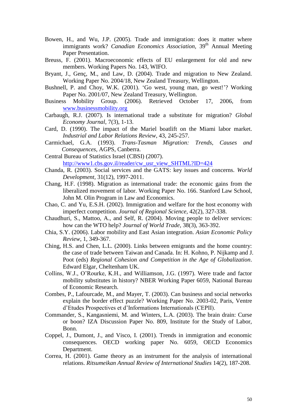- Bowen, H., and Wu, J.P. (2005). Trade and immigration: does it matter where immigrants work? *Canadian Economics Association*, 39<sup>th</sup> Annual Meeting Paper Presentation.
- Breuss, F. (2001). Macroeconomic effects of EU enlargement for old and new members. Working Papers No. 143, WIFO.
- Bryant, J., Genç, M., and Law, D. (2004). Trade and migration to New Zealand. Working Paper No. 2004/18, New Zealand Treasury, Wellington.
- Bushnell, P. and Choy, W.K. (2001). 'Go west, young man, go west!'? Working Paper No. 2001/07, New Zealand Treasury, Wellington.
- Business Mobility Group. (2006). Retrieved October 17, 2006, from [www.businessmobility.org](http://www.businessmobility.org/)
- Carbaugh, R.J. (2007). Is international trade a substitute for migration? *Global Economy Journal*, 7(3), 1-13.
- Card, D. (1990). The impact of the Mariel boatlift on the Miami labor market. *Industrial and Labor Relations Review*, 43, 245-257.
- Carmichael, G.A. (1993). *Trans-Tasman Migration: Trends, Causes and Consequences*, AGPS, Canberra.
- Central Bureau of Statistics Israel (CBSI) (2007). [http://www1.cbs.gov.il/reader/cw\\_usr\\_view\\_SHTML?ID=424](http://www1.cbs.gov.il/reader/cw_usr_view_SHTML?ID=424)
- Chanda, R. (2003). Social services and the GATS: key issues and concerns. *World Development,* 31(12), 1997-2011.
- Chang, H.F. (1998). Migration as international trade: the economic gains from the liberalized movement of labor. Working Paper No. 166. Stanford Law School, John M. Olin Program in Law and Economics.
- Chao, C. and Yu, E.S.H. (2002). Immigration and welfare for the host economy with imperfect competition. *Journal of Regional Science,* 42(2), 327-338.
- Chaudhuri, S., Mattoo, A., and Self, R. (2004). Moving people to deliver services: how can the WTO help? *Journal of World Trade,* 38(3), 363-392.
- Chia, S.Y. (2006). Labor mobility and East Asian integration. *Asian Economic Policy Review*, 1, 349-367.
- Ching, H.S. and Chen, L.L. (2000). Links between emigrants and the home country: the case of trade between Taiwan and Canada. In: H. Kohno, P. Nijkamp and J. Poot (eds) *Regional Cohesion and Competition in the Age of Globalization*. Edward Elgar, Cheltenham UK.
- Collins, W.J., O"Rourke, K.H., and Williamson, J.G. (1997). Were trade and factor mobility substitutes in history? NBER Working Paper 6059, National Bureau of Economic Research.
- Combes, P., Lafourcade, M., and Mayer, T. (2003). Can business and social networks explain the border effect puzzle? Working Paper No. 2003-02, Paris, Ventre d"Etudes Prospectives et d"Informations Internationals (CEPII).
- Commander, S., Kangasniemi, M. and Winters, L.A. (2003). The brain drain: Curse or boon? IZA Discussion Paper No. 809, Institute for the Study of Labor, Bonn.
- Coppel, J., Dumont, J., and Visco, I. (2001). Trends in immigration and economic consequences. OECD working paper No. 6059, OECD Economics Department.
- Correa, H. (2001). Game theory as an instrument for the analysis of international relations. *Ritsumeikan Annual Review of International Studies* 14(2), 187-208.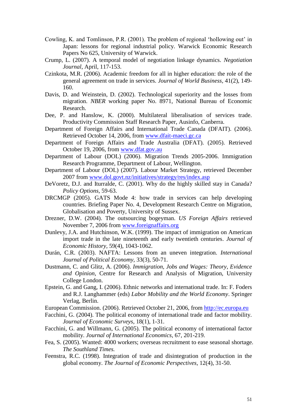- Cowling, K. and Tomlinson, P.R. (2001). The problem of regional 'hollowing out' in Japan: lessons for regional industrial policy. Warwick Economic Research Papers No 625, University of Warwick.
- Crump, L. (2007). A temporal model of negotiation linkage dynamics. *Negotiation Journal*, April, 117-153.
- Czinkota, M.R. (2006). Academic freedom for all in higher education: the role of the general agreement on trade in services. *Journal of World Business,* 41(2), 149- 160.
- Davis, D. and Weinstein, D. (2002). Technological superiority and the losses from migration. *NBER* working paper No. 8971, National Bureau of Economic Research.
- Dee, P. and Hanslow, K. (2000). Multilateral liberalisation of services trade. Productivity Commission Staff Research Paper, Ausinfo, Canberra.
- Department of Foreign Affairs and International Trade Canada (DFAIT). (2006). Retrieved October 14, 2006, from [www.dfait-maeci.gc.ca](http://www.dfait-maeci.gc.ca/)
- Department of Foreign Affairs and Trade Australia (DFAT). (2005). Retrieved October 19, 2006, from [www.dfat.gov.au](http://www.dfat.gov.au/)
- Department of Labour (DOL) (2006). Migration Trends 2005-2006. Immigration Research Programme, Department of Labour, Wellington.
- Department of Labour (DOL) (2007). Labour Market Strategy, retrieved December 2007 from [www.dol.govt.nz/initiatives/strategy/res/index.asp](http://www.dol.govt.nz/initiatives/strategy/res/index.asp)
- DeVoretz, D.J. and Iturralde, C. (2001). Why do the highly skilled stay in Canada? *Policy Options,* 59-63.
- DRCMGP (2005). GATS Mode 4: how trade in services can help developing countries. Briefing Paper No. 4, Development Research Centre on Migration, Globalisation and Poverty, University of Sussex.
- Drezner, D.W. (2004). The outsourcing bogeyman. *US Foreign Affairs* retrieved November 7, 2006 from [www.foreignaffairs.org](http://www.foreignaffairs.org/)
- Dunlevy, J.A. and Hutchinson, W.K. (1999). The impact of immigration on American import trade in the late nineteenth and early twentieth centuries. *Journal of Economic History,* 59(4), 1043-1062.
- Durán, C.R. (2003). NAFTA: Lessons from an uneven integration. *International Journal of Political Economy,* 33(3), 50-71.
- Dustmann, C. and Glitz, A. (2006). *Immigration, Jobs and Wages: Theory, Evidence and Opinion*, Centre for Research and Analysis of Migration, University College London.
- Epstein, G. and Gang, I. (2006). Ethnic networks and international trade. In: F. Foders and R.J. Langhammer (eds) *Labor Mobility and the World Economy*. Springer Verlag, Berlin.
- European Commission. (2006). Retrieved October 21, 2006, from [http://ec.europa.eu](http://ec.europa.eu/)
- Facchini, G. (2004). The political economy of international trade and factor mobility. *Journal of Economic Surveys*, 18(1), 1-31.
- Facchini, G. and Willmann, G. (2005). The political economy of international factor mobility. *Journal of International Economics*, 67, 201-219.
- Fea, S. (2005). Wanted: 4000 workers; overseas recruitment to ease seasonal shortage. *The Southland Times.*
- Feenstra, R.C. (1998). Integration of trade and disintegration of production in the global economy. *The Journal of Economic Perspectives,* 12(4), 31-50.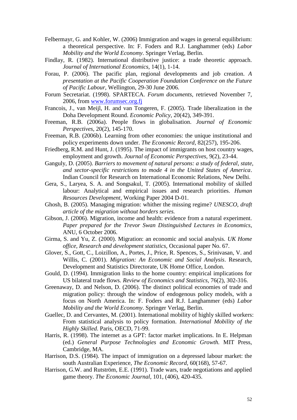- Felbermayr, G. and Kohler, W. (2006) Immigration and wages in general equilibrium: a theoretical perspective. In: F. Foders and R.J. Langhammer (eds) *Labor Mobility and the World Economy*. Springer Verlag, Berlin.
- Findlay, R. (1982). International distributive justice: a trade theoretic approach. *Journal of International Economics,* 14(1), 1-14.
- Forau, P. (2006). The pacific plan, regional developments and job creation. *A presentation at the Pacific Cooperation Foundation Conference on the Future of Pacific Labour,* Wellington, 29-30 June 2006.
- Forum Secretariat. (1998). SPARTECA. *Forum documents,* retrieved November 7, 2006, from [www.forumsec.org.fj](http://www.forumsec.org.fj/)
- Francois, J., van Meijl, H. and van Tongeren, F. (2005). Trade liberalization in the Doha Development Round. *Economic Policy*, 20(42), 349-391.
- Freeman, R.B. (2006a). People flows in globalisation. *Journal of Economic Perspectives,* 20(2), 145-170.
- Freeman, R.B. (2006b). Learning from other economies: the unique institutional and policy experiments down under. *The Economic Record,* 82(257), 195-206.
- Friedberg, R.M. and Hunt, J. (1995). The impact of immigrants on host country wages, employment and growth. *Journal of Economic Perspectives,* 9(2), 23-44.
- Ganguly, D. (2005). *Barriers to movement of natural persons: a study of federal, state, and sector-specific restrictions to mode 4 in the United States of America*. Indian Council for Research on International Economic Relations, New Delhi.
- Gera, S., Laryea, S. A. and Songsakul, T. (2005). International mobility of skilled labour: Analytical and empirical issues and research priorities. *Human Resources Development,* Working Paper 2004 D-01.
- Ghosh, B. (2005). Managing migration: whither the missing regime? *UNESCO, draft article of the migration without borders series.*
- Gibson, J. (2006). Migration, income and health: evidence from a natural experiment. *Paper prepared for the Trevor Swan Distinguished Lectures in Economics*, ANU, 6 October 2006.
- Girma, S. and Yu, Z. (2000). Migration: an economic and social analysis. *UK Home office, Research and development statistics,* Occasional paper No. 67.
- Glover, S., Gott, C., Loizillon, A., Portes, J., Price, R. Spences, S., Srinivasan, V. and Willis, C. (2001). *Migration: An Economic and Social Analysis*. Research, Development and Statistics Directorate, UK Home Office, London.
- Gould, D. (1994). Immigration links to the home country: empirical implications for US bilateral trade flows. *Review of Economics and Statistics,* 76(2), 302-316.
- Greenaway, D. and Nelson, D. (2006). The distinct political economies of trade and migration policy: through the window of endogenous policy models, with a focus on North America. In: F. Foders and R.J. Langhammer (eds) *Labor Mobility and the World Economy*. Springer Verlag, Berlin.
- Guellec, D. and Cervantes, M. (2001). International mobility of highly skilled workers: From statistical analysis to policy formation. *International Mobility of the Highly Skilled*. Paris, OECD, 71-99.
- Harris, R. (1998). The internet as a GPT: factor market implications. In E. Helpman (ed.) *General Purpose Technologies and Economic Growth.* MIT Press, Cambridge, MA.
- Harrison, D.S. (1984). The impact of immigration on a depressed labour market: the south Australian Experience, *The Economic Record,* 60(168), 57-67.
- Harrison, G.W. and Rutström, E.E. (1991). Trade wars, trade negotiations and applied game theory. *The Economic Journal,* 101, (406), 420-435.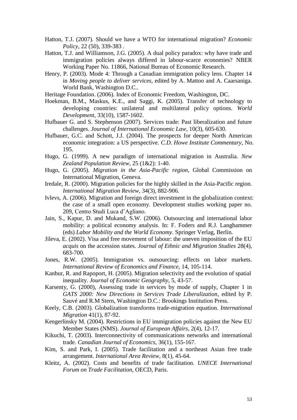- Hatton, T.J. (2007). Should we have a WTO for international migration? *Economic Policy*, 22 (50), 339-383 .
- Hatton, T.J. and Williamson, J.G. (2005). A dual policy paradox: why have trade and immigration policies always differed in labour-scarce economies? NBER Working Paper No. 11866, National Bureau of Economic Research.
- Henry, P. (2003). Mode 4: Through a Canadian immigration policy lens. Chapter 14 in *Moving people to deliver services*, edited by A. Mattoo and A. Caarsaniga. World Bank, Washington D.C..
- Heritage Foundation. (2006). Index of Economic Freedom, Washington, DC.
- Hoekman, B.M., Maskus, K.E., and Saggi, K. (2005). Transfer of technology to developing countries: unilateral and multilateral policy options. *World Development,* 33(10), 1587-1602.
- Hufbauer G. and S. Stephenson (2007). Services trade: Past liberalization and future challenges. *Journal of International Economic Law*, 10(3), 605-630.
- Hufbauer, G.C. and Schott, J.J. (2004). The prospects for deeper North American economic integration: a US perspective. *C.D. Howe Institute Commentary,* No. 195.
- Hugo, G. (1999). A new paradigm of international migration in Australia. *New Zealand Population Review*, 25 (1&2): 1-40.
- Hugo, G. (2005). *Migration in the Asia-Pacific region*, Global Commission on International Migration, Geneva.
- Iredale, R. (2000). Migration policies for the highly skilled in the Asia-Pacific region. *International Migration Review,* 34(3), 882-906.
- Ivlevs, A. (2006). Migration and foreign direct investment in the globalization context: the case of a small open economy. Development studies working paper no. 209, Centro Studi Luca d"Agliano.
- Jain, S., Kapur, D. and Mukand, S.W. (2006). Outsourcing and international labor mobility: a political economy analysis. In: F. Foders and R.J. Langhammer (eds) *Labor Mobility and the World Economy*. Springer Verlag, Berlin.
- Jileva, E. (2002). Visa and free movement of labour: the uneven imposition of the EU *acquis* on the accession states. *Journal of Ethnic and Migration Studies* 28(4), 683-700.
- Jones, R.W. (2005). Immigration vs. outsourcing: effects on labor markets. *International Review of Economics and Finance*, 14, 105-114.
- Kanbur, R. and Rapoport, H. (2005). Migration selectivity and the evolution of spatial inequality. *Journal of Economic Geography*, 5, 43-57.
- Karsenty, G. (2000), Assessing trade in services by mode of supply, Chapter 1 in *GATS 2000: New Directions in Services Trade Liberalization*, edited by P. Sauvé and R.M Stern, Washington D.C.: Brookings Institution Press.
- Keely, C.B. (2003). Globalization transforms trade-migration equation. *International Migration* 41(1), 87-92.
- Kengerlinsky M. (2004). Restrictions in EU immigration policies against the New EU Member States (NMS). *Journal of European Affairs*, 2(4), 12-17.
- Kikuchi, T. (2003). Interconnectivity of communications networks and international trade. *Canadian Journal of Economics,* 36(1), 155-167.
- Kim, S. and Park, I. (2005). Trade facilitation and a northeast Asian free trade arrangement. *International Area Review,* 8(1), 45-64.
- Kleitz, A. (2002). Costs and benefits of trade facilitation. *UNECE International Forum on Trade Facilitation,* OECD, Paris.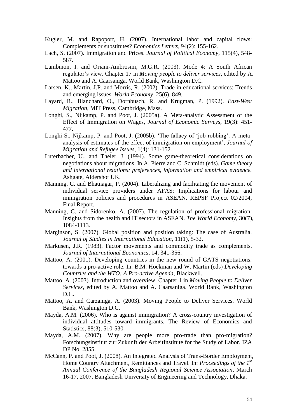- Kugler, M. and Rapoport, H. (2007). International labor and capital flows: Complements or substitutes? *Economics Letters*, 94(2): 155-162.
- Lach, S. (2007). Immigration and Prices. *Journal of Political Economy*, 115(4), 548- 587.
- Lambinon, I. and Oriani-Ambrosini, M.G.R. (2003). Mode 4: A South African regulator"s view. Chapter 17 in *Moving people to deliver services*, edited by A. Mattoo and A. Caarsaniga. World Bank, Washington D.C.
- Larsen, K., Martin, J.P. and Morris, R. (2002). Trade in educational services: Trends and emerging issues. *World Economy*, 25(6), 849.
- Layard, R., Blanchard, O., Dornbusch, R. and Krugman, P. (1992). *East-West Migration*, MIT Press, Cambridge, Mass.
- Longhi, S., Nijkamp, P. and Poot, J. (2005a). A Meta-analytic Assessment of the Effect of Immigration on Wages, *Journal of Economic Surveys*, 19(3): 451- 477.
- Longhi S., Nijkamp, P. and Poot, J. (2005b). "The fallacy of "job robbing": A metaanalysis of estimates of the effect of immigration on employment', *Journal of Migration and Refugee Issues*, 1(4): 131-152.
- Luterbacher, U., and Theler, J. (1994). Some game-theoretical considerations on negotiations about migrations. In A. Pierre and C. Schmidt (eds). *Game theory and international relations: preferences, information and empirical evidence.*  Ashgate, Aldershot UK.
- Manning, C. and Bhatnagar, P. (2004). Liberalizing and facilitating the movement of individual service providers under AFAS: Implications for labour and immigration policies and procedures in ASEAN. REPSF Project 02/2004, Final Report.
- Manning, C. and Sidorenko, A. (2007). The regulation of professional migration: Insights from the health and IT sectors in ASEAN. *The World Economy*, 30(7), 1084-1113.
- Marginson, S. (2007). Global position and position taking: The case of Australia. *Journal of Studies in International Education*, 11(1), 5-32.
- Markusen, J.R. (1983). Factor movements and commodity trade as complements. *Journal of International Economics,* 14, 341-356.
- Mattoo, A. (2001). Developing countries in the new round of GATS negotiations: towards a pro-active role. In: B.M. Hoekman and W. Martin (eds) *Developing Countries and the WTO: A Pro-active Agenda*, Blackwell.
- Mattoo, A. (2003). Introduction and overview. Chapter 1 in *Moving People to Deliver Services*, edited by A. Mattoo and A. Caarsaniga. World Bank, Washington D.C.
- Mattoo, A. and Carzaniga, A. (2003). Moving People to Deliver Services. World Bank, Washington D.C.
- Mayda, A.M. (2006). Who is against immigration? A cross-country investigation of individual attitudes toward immigrants. The Review of Economics and Statistics, 88(3), 510-530.
- Mayda, A.M. (2007). Why are people more pro-trade than pro-migration? Forschungsinstitut zur Zukunft der ArbeitInstitute for the Study of Labor. IZA DP No. 2855.
- McCann, P. and Poot, J. (2008). An Integrated Analysis of Trans-Border Employment, Home Country Attachment, Remittances and Travel. In: *Proceedings of the 1st Annual Conference of the Bangladesh Regional Science Association*, March 16-17, 2007. Bangladesh University of Engineering and Technology, Dhaka.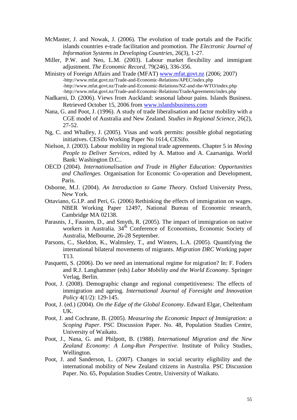- McMaster, J. and Nowak, J. (2006). The evolution of trade portals and the Pacific islands countries e-trade facilitation and promotion. *The Electronic Journal of Information Systems in Developing Countries,* 26(3), 1-27.
- Miller, P.W. and Neo, L.M. (2003). Labour market flexibility and immigrant adjustment. *The Economic Record,* 79(246), 336-356.
- Ministry of Foreign Affairs and Trade (MFAT) [www.mfat.govt.nz](http://www.mfat.govt.nz/) (2006; 2007) -http://www.mfat.govt.nz/Trade-and-Economic-Relations/APEC/index.php -http://www.mfat.govt.nz/Trade-and-Economic-Relations/NZ-and-the-WTO/index.php -http://www.mfat.govt.nz/Trade-and-Economic-Relations/TradeAgreements/index.php
- Nadkarni, D. (2006). Views from Auckland: seasonal labour pains. Islands Business. Retrieved October 15, 2006 from [www.islandsbusiness.com](http://www.islandsbusiness.com/)
- Nana, G. and Poot, J. (1996). A study of trade liberalisation and factor mobility with a CGE model of Australia and New Zealand. *Studies in Regional Science*, 26(2), 27-52.
- Ng, C. and Whalley, J. (2005). Visas and work permits: possible global negotiating initiatives. CESifo Working Paper No 1614, CESifo.
- Nielson, J. (2003). Labour mobility in regional trade agreements. Chapter 5 in *Moving People to Deliver Services*, edited by A. Mattoo and A. Caarsaniga. World Bank: Washington D.C..
- OECD (2004). *Internationalisation and Trade in Higher Education: Opportunities and Challenges.* Organisation for Economic Co-operation and Development, Paris.
- Osborne, M.J. (2004). *An Introduction to Game Theory*. Oxford University Press, New York.
- Ottaviano, G.I.P. and Peri, G. (2006) Rethinking the effects of immigration on wages. NBER Working Paper 12497, National Bureau of Economic research, Cambridge MA 02138.
- Parasnis, J., Fausten, D., and Smyth, R. (2005). The impact of immigration on native workers in Australia.  $34<sup>th</sup>$  Conference of Economists, Economic Society of Australia, Melbourne, 26-28 September.
- Parsons, C., Skeldon, K., Walmsley, T., and Winters, L.A. (2005). Quantifying the international bilateral movements of migrants. *Migration DRC* Working paper T13.
- Pasquetti, S. (2006). Do we need an international regime for migration? In: F. Foders and R.J. Langhammer (eds) *Labor Mobility and the World Economy*. Springer Verlag, Berlin.
- Poot, J. (2008). Demographic change and regional competitiveness: The effects of immigration and ageing. *International Journal of Foresight and Innovation Policy* 4(1/2): 129-145.
- Poot, J. (ed.) (2004). *On the Edge of the Global Economy*. Edward Elgar, Cheltenham UK.
- Poot, J. and Cochrane, B. (2005). *Measuring the Economic Impact of Immigration: a Scoping Paper*. PSC Discussion Paper. No. 48, Population Studies Centre, University of Waikato.
- Poot, J., Nana, G. and Philpott, B. (1988). *International Migration and the New Zealand Economy: A Long-Run Perspective*. Institute of Policy Studies, Wellington.
- Poot, J. and Sanderson, L. (2007). Changes in social security eligibility and the international mobility of New Zealand citizens in Australia. PSC Discussion Paper. No. 65, Population Studies Centre, University of Waikato.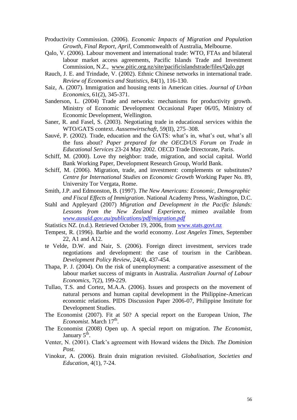- Productivity Commission. (2006). *Economic Impacts of Migration and Population Growth, Final Report, April,* Commonwealth of Australia, Melbourne.
- Qalo, V. (2006). Labour movement and international trade: WTO, FTAs and bilateral labour market access agreements, Pacific Islands Trade and Investment Commission, N.Z., www.pitic.org.nz/site/pacificislandstrade/files/Qalo.ppt
- Rauch, J. E. and Trindade, V. (2002). Ethnic Chinese networks in international trade. *Review of Economics and Statistics,* 84(1), 116-130.
- Saiz, A. (2007). Immigration and housing rents in American cities. *Journal of Urban Economics*, 61(2), 345-371.
- Sanderson, L. (2004) Trade and networks: mechanisms for productivity growth. Ministry of Economic Development Occasional Paper 06/05, Ministry of Economic Development, Wellington.
- Saner, R. and Fasel, S. (2003). Negotiating trade in educational services within the WTO/GATS context. *Aussenwirtschaft*, 59(II), 275–308.
- Sauvé, P. (2002). Trade, education and the GATS: what's in, what's out, what's all the fuss about? *Paper prepared for the OECD/US Forum on Trade in Educational Services* 23-24 May 2002. OECD Trade Directorate, Paris.
- Schiff, M. (2000). Love thy neighbor: trade, migration, and social capital. World Bank Working Paper, Development Research Group, World Bank.
- Schiff, M. (2006). Migration, trade, and investment: complements or substitutes? *Centre for International Studies on Economic Growth* Working Paper No. 89, University Tor Vergata, Rome.
- Smith, J.P. and Edmonston, B. (1997). *The New Americans: Economic, Demographic and Fiscal Effects of Immigration*. National Academy Press, Washington, D.C.
- Stahl and Appleyard (2007) *Migration and Development in the Pacific Islands: Lessons from the New Zealand Experience*, mimeo available from *[www.ausaid.gov.au/publications/pdf/migration.pdf](http://www.ausaid.gov.au/publications/pdf/migration.pdf)*
- Statistics NZ. (n.d.). Retrieved October 19, 2006, from [www.stats.govt.nz](http://www.stats.govt.nz/)
- Tempest, R. (1996). Barbie and the world economy. *Lost Angeles Times,* September 22, A1 and A12.
- te Velde, D.W. and Nair, S. (2006). Foreign direct investment, services trade negotiations and development: the case of tourism in the Caribbean. *Development Policy Review*, 24(4), 437-454.
- Thapa, P. J. (2004). On the risk of unemployment: a comparative assessment of the labour market success of migrants in Australia. *Australian Journal of Labour Economics,* 7(2), 199-229.
- Tullao, T.S. and Cortez, M.A.A. (2006). Issues and prospects on the movement of natural persons and human capital development in the Philippine-American economic relations. PIDS Discussion Paper 2006-07, Philippine Institute for Development Studies.
- The Economist (2007). Fit at 50? A special report on the European Union, *The*  Economist. March 17<sup>th</sup>.
- The Economist (2008) Open up. A special report on migration. *The Economist*, January 5<sup>th</sup>.
- Venter, N. (2001). Clark"s agreement with Howard widens the Ditch. *The Dominion Post.*
- Vinokur, A. (2006). Brain drain migration revisited. *Globalisation, Societies and Education*, 4(1), 7-24.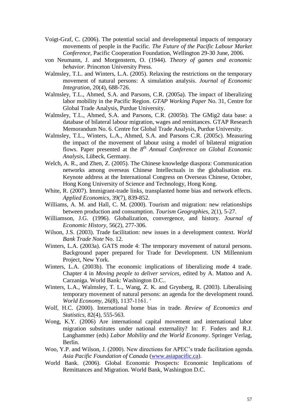- Voigt-Graf, C. (2006). The potential social and developmental impacts of temporary movements of people in the Pacific. *The Future of the Pacific Labour Market Conference,* Pacific Cooperation Foundation, Wellington 29-30 June, 2006.
- von Neumann, J. and Morgenstern, O. (1944). *Theory of games and economic behavior*. Princeton University Press.
- Walmsley, T.L. and Winters, L.A. (2005). Relaxing the restrictions on the temporary movement of natural persons: A simulation analysis. *Journal of Economic Integration*, 20(4), 688-726.
- Walmsley, T.L., Ahmed, S.A. and Parsons, C.R. (2005a). The impact of liberalizing labor mobility in the Pacific Region. *GTAP Working Paper* No. 31, Centre for Global Trade Analysis, Purdue University.
- Walmsley, T.L., Ahmed, S.A. and Parsons, C.R. (2005b). The GMig2 data base: a database of bilateral labour migration, wages and remittances. GTAP Research Memorandum No. 6. Centre for Global Trade Analysis, Purdue University.
- Walmsley, T.L., Winters, L.A., Ahmed, S.A. and Parsons C.R. (2005c). Measuring the impact of the movement of labour using a model of bilateral migration flows. Paper presented at the 8<sup>th</sup> Annual Conference on Global Economic *Analysis*, Lübeck, Germany.
- Welch, A. R., and Zhen, Z. (2005). The Chinese knowledge diaspora: Communication networks among overseas Chinese Intellectuals in the globalisation era. Keynote address at the International Congress on Overseas Chinese, October, Hong Kong University of Science and Technology, Hong Kong.
- White, R. (2007). Immigrant-trade links, transplanted home bias and network effects. *Applied Economics*, 39(7), 839-852.
- Williams, A. M. and Hall, C. M. (2000). Tourism and migration: new relationships between production and consumption. *Tourism Geographies,* 2(1), 5-27.
- Williamson, J.G. (1996). Globalization, convergence, and history. *Journal of Economic History,* 56(2), 277-306.
- Wilson, J.S. (2003). Trade facilitation: new issues in a development context. *World Bank Trade Note* No. 12.
- Winters, L.A. (2003a). GATS mode 4: The temporary movement of natural persons. Background paper prepared for Trade for Development. UN Millennium Project, New York.
- Winters, L.A. (2003b). The economic implications of liberalizing mode 4 trade. Chapter 4 in *Moving people to deliver services*, edited by A. Mattoo and A. Carzaniga. World Bank: Washington D.C..
- Winters, L.A., Walmsley, T. L., Wang, Z. K. and Grynberg, R. (2003). Liberalising temporary movement of natural persons: an agenda for the development round. *World Economy,* 26(8), 1137-1161. "
- Wolf, H.C. (2000). International home bias in trade. *Review of Economics and Statistics,* 82(4), 555-563.
- Wong, K.Y. (2006) Are international capital movement and international labor migration substitutes under national externality? In: F. Foders and R.J. Langhammer (eds) *Labor Mobility and the World Economy*. Springer Verlag, Berlin.
- Woo, Y.P. and Wilson, J. (2000). New directions for APEC"s trade facilitation agenda. *Asia Pacific Foundation of Canada* [\(www.asiapacific.ca\)](http://www.asiapacific.ca/).
- World Bank. (2006). Global Economic Prospects: Economic Implications of Remittances and Migration. World Bank, Washington D.C.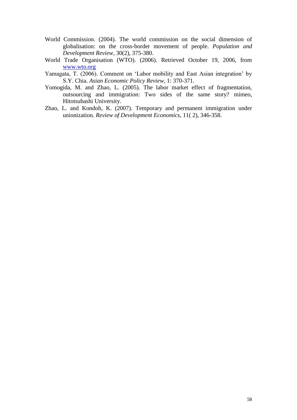- World Commission. (2004). The world commission on the social dimension of globalisation: on the cross-border movement of people. *Population and Development Review,* 30(2), 375-380.
- World Trade Organisation (WTO). (2006). Retrieved October 19, 2006, from [www.wto.org](http://www.wto.org/)
- Yamagata, T. (2006). Comment on "Labor mobility and East Asian integration" by S.Y. Chia. *Asian Economic Policy Review*, 1: 370-371.
- Yomogida, M. and Zhao, L. (2005). The labor market effect of fragmentation, outsourcing and immigration: Two sides of the same story? mimeo, Hitotsubashi University.
- Zhao, L. and Kondoh, K. (2007). Temporary and permanent immigration under unionization. *Review of Development Economics*, 11( 2), 346-358.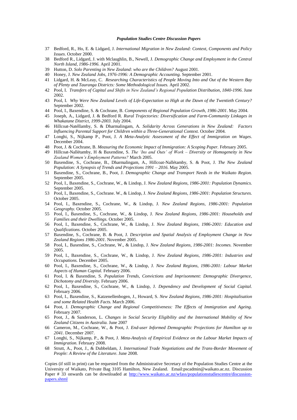#### *Population Studies Centre Discussion Papers*

- 37 Bedford, R., Ho, E. & Lidgard, J. *International Migration in New Zealand: Context, Components and Policy Issues*. October 2000.
- 38 Bedford R., Lidgard, J. with Mclaughlin, B., Newell, J. *Demographic Change and Employment in the Central North Island, 1986-1996.* April 2001.
- 39 Hutton, D. *Solo Parenting in New Zealand: who are the Children?* August 2001.
- 40 Honey, J. *New Zealand Jobs, 1976-1996: A Demographic Accounting.* September 2001.
- 41 Lidgard, H. & McLeay, C. *Researching Characteristics of People Moving Into and Out of the Western Bay of Plenty and Tauranga Districts: Some Methodological Issues.* April 2002.
- 42 Pool, I. *Transfers of Capital and Shifts in New Zealand's Regional Population Distribution, 1840-1996*. June 2002.
- 43 Pool, I. *Why Were New Zealand Levels of Life-Expectation so High at the Dawn of the Twentieth Century?* September 2002.
- 44 Pool, I., Baxendine, S. & Cochrane, B. *Components of Regional Population Growth, 1986-2001*. May 2004.
- 45 Joseph, A., Lidgard, J. & Bedford R. *Rural Trajectories: Diversification and Farm-Community Linkages in Whakatane District, 1999-2003.* July 2004.
- 46 Hillcoat-Natéllamby, S. & Dharmalingam, A. *Solidarity Across Generations in New Zealand: Factors Influencing Parental Support for Children within a Three-Generational Context.* October 2004.
- 47 Longhi, S., Nijkamp P., Poot, J. *A Meta-Analytic Assessment of the Effect of Immigration on Wages*. December 2004.
- 48 Poot, J. & Cochrane, B. *Measuring the Economic Impact of Immigration: A Scoping Paper.* February 2005.
- 49 Hillcoat-Nallétamby, H & Baxendine, S. *The 'Ins and Outs' of Work – Diversity or Homogeneity in New Zealand Women's Employment Patterns?* March 2005.
- 50 Baxendine, S., Cochrane, B., Dharmalingam, A., Hillcoat-Nallétamby, S. & Poot, J. *The New Zealand Population: A Synopsis of Trends and Projections 1991 – 2016*. May 2005.
- 51 Baxendine, S., Cochrane, B., Poot, J. *Demographic Change and Transport Needs in the Waikato Region.* September 2005.
- 52 Pool, I., Baxendine, S., Cochrane, W., & Lindop, J. *New Zealand Regions, 1986-2001: Population Dynamics.* September 2005.
- 53 Pool, I., Baxendine, S., Cochrane. W., & Lindop, J. *New Zealand Regions, 1986-2001: Population Structures.* October 2005.
- 54 Pool, I., Baxendine, S., Cochrane, W., & Lindop, J. *New Zealand Regions, 1986-2001: Population Geography.* October 2005.
- 55 Pool, I., Baxendine, S., Cochrane, W., & Lindop, J. *New Zealand Regions, 1986-2001: Households and Families and their Dwellings.* October 2005.
- 56 Pool, I., Baxendine, S., Cochrane, W., & Lindop, J. *New Zealand Regions, 1986-2001: Education and Qualifications.* October 2005.
- 57 Baxendine, S., Cochrane, B. & Poot, J. *Description and Spatial Analysis of Employment Change in New Zealand Regions 1986-2001*. November 2005.
- 58 Pool, I., Baxendine, S., Cochrane, W., & Lindop, J. *New Zealand Regions, 1986-2001: Incomes.* November 2005*.*
- 59 Pool, I., Baxendine, S., Cochrane, W., & Lindop, J. *New Zealand Regions, 1986-2001: Industries and Occupations.* December 2005.
- 60 Pool, I., Baxendine, S., Cochrane, W., & Lindop, J. *New Zealand Regions, 1986-2001: Labour Market Aspects of Human Capital.* February 2006.
- 61 Pool, I. & Baxendine, S. *Population Trends, Convictions and Imprisonment: Demographic Divergence, Dichotomy and Diversity.* February 2006.
- 62 Pool, I., Baxendine, S., Cochrane, W., & Lindop, J. *Dependency and Development of Social Capital.* February 2006.
- 63 Pool, I., Baxendine, S., Katzenellenbogen, J., Howard, S. *New Zealand Regions, 1986-2001: Hospitalisation and some Related Health Facts.* March 2006.
- 64 Poot, J. *Demographic Change and Regional Competitiveness: The Effects of Immigration and Ageing.* February 2007.
- 65 Poot, J., & Sanderson, L. *Changes in Social Security Eligibility and the International Mobility of New Zealand Citizens in Australia.* June 2007
- 66 Cameron, M., Cochrane, W., & Poot, J. *End-user Informed Demographic Projections for Hamilton up to 2041.* December 2007.
- 67 Longhi, S., Nijkamp, P., & Poot, J. *Meta-Analysis of Empirical Evidence on the Labour Market Impacts of Immigration.* February 2008.
- 68 Strutt, A., Poot, J., & Dubbeldam, J. *International Trade Negotiations and the Trans-Border Movement of People: A Review of the Literature*. June 2008.

Copies (if still in print) can be requested from the Administrative Secretary of the Population Studies Centre at the University of Waikato, Private Bag 3105 Hamilton, New Zealand. Email:pscadmin@waikato.ac.nz. Discussion Paper # 33 onwards can be downloaded at [http://www.waikato.ac.nz/wfass/populationstudiescentre/discussion](http://www.waikato.ac.nz/wfass/populationstudiescentre/discussion-papers.shtml)[papers.shtml](http://www.waikato.ac.nz/wfass/populationstudiescentre/discussion-papers.shtml)